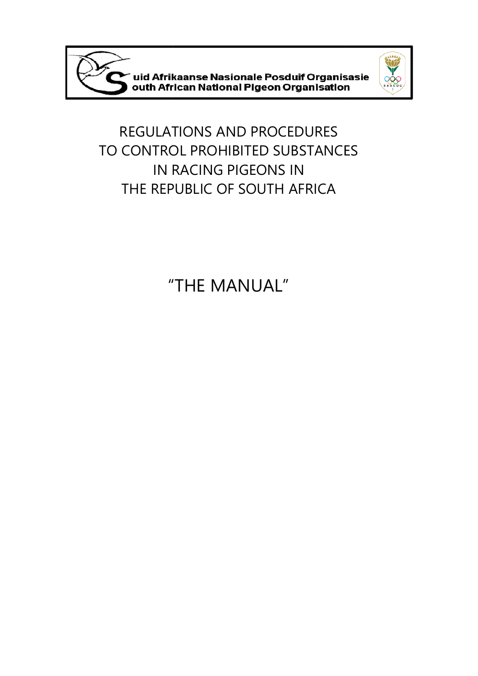



REGULATIONS AND PROCEDURES TO CONTROL PROHIBITED SUBSTANCES IN RACING PIGEONS IN THE REPUBLIC OF SOUTH AFRICA

"THE MANUAL"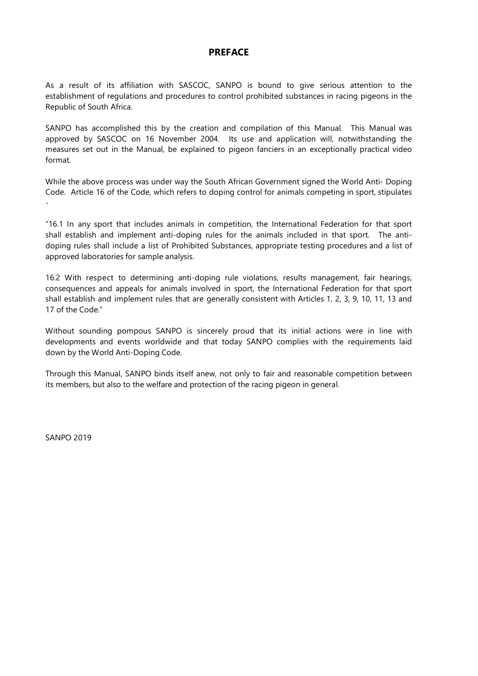### **PREFACE**

As a result of its affiliation with SASCOC, SANPO is bound to give serious attention to the establishment of regulations and procedures to control prohibited substances in racing pigeons in the Republic of South Africa.

SANPO has accomplished this by the creation and compilation of this Manual. This Manual was approved by SASCOC on 16 November 2004. Its use and application will, notwithstanding the measures set out in the Manual, be explained to pigeon fanciers in an exceptionally practical video format.

While the above process was under way the South African Government signed the World Anti- Doping Code. Article 16 of the Code, which refers to doping control for animals competing in sport, stipulates -

"16.1 In any sport that includes animals in competition, the International Federation for that sport shall establish and implement anti-doping rules for the animals included in that sport. The antidoping rules shall include a list of Prohibited Substances, appropriate testing procedures and a list of approved laboratories for sample analysis.

16.2 With respect to determining anti-doping rule violations, results management, fair hearings, consequences and appeals for animals involved in sport, the International Federation for that sport shall establish and implement rules that are generally consistent with Articles 1, 2, 3, 9, 10, 11, 13 and 17 of the Code."

Without sounding pompous SANPO is sincerely proud that its initial actions were in line with developments and events worldwide and that today SANPO complies with the requirements laid down by the World Anti-Doping Code.

Through this Manual, SANPO binds itself anew, not only to fair and reasonable competition between its members, but also to the welfare and protection of the racing pigeon in general.

SANPO 2019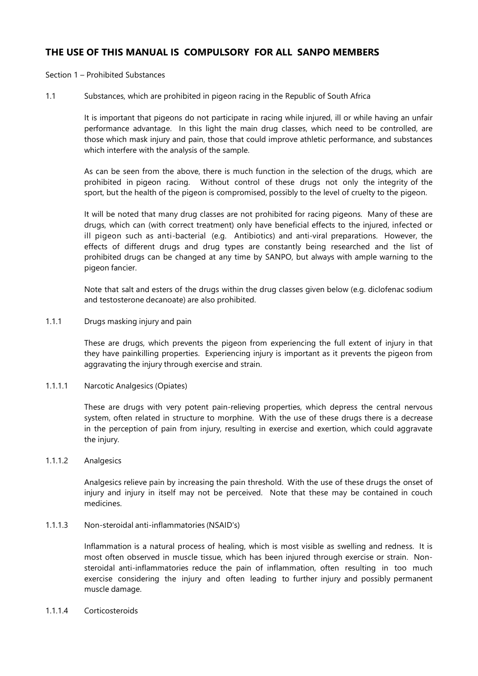# **THE USE OF THIS MANUAL IS COMPULSORY FOR ALL SANPO MEMBERS**

Section 1 – Prohibited Substances

1.1 Substances, which are prohibited in pigeon racing in the Republic of South Africa

It is important that pigeons do not participate in racing while injured, ill or while having an unfair performance advantage. In this light the main drug classes, which need to be controlled, are those which mask injury and pain, those that could improve athletic performance, and substances which interfere with the analysis of the sample.

As can be seen from the above, there is much function in the selection of the drugs, which are prohibited in pigeon racing. Without control of these drugs not only the integrity of the sport, but the health of the pigeon is compromised, possibly to the level of cruelty to the pigeon.

It will be noted that many drug classes are not prohibited for racing pigeons. Many of these are drugs, which can (with correct treatment) only have beneficial effects to the injured, infected or ill pigeon such as anti-bacterial (e.g. Antibiotics) and anti-viral preparations. However, the effects of different drugs and drug types are constantly being researched and the list of prohibited drugs can be changed at any time by SANPO, but always with ample warning to the pigeon fancier.

Note that salt and esters of the drugs within the drug classes given below (e.g. diclofenac sodium and testosterone decanoate) are also prohibited.

1.1.1 Drugs masking injury and pain

These are drugs, which prevents the pigeon from experiencing the full extent of injury in that they have painkilling properties. Experiencing injury is important as it prevents the pigeon from aggravating the injury through exercise and strain.

1.1.1.1 Narcotic Analgesics (Opiates)

These are drugs with very potent pain-relieving properties, which depress the central nervous system, often related in structure to morphine. With the use of these drugs there is a decrease in the perception of pain from injury, resulting in exercise and exertion, which could aggravate the injury.

1.1.1.2 Analgesics

Analgesics relieve pain by increasing the pain threshold. With the use of these drugs the onset of injury and injury in itself may not be perceived. Note that these may be contained in couch medicines.

1.1.1.3 Non-steroidal anti-inflammatories (NSAID's)

Inflammation is a natural process of healing, which is most visible as swelling and redness. It is most often observed in muscle tissue, which has been injured through exercise or strain. Nonsteroidal anti-inflammatories reduce the pain of inflammation, often resulting in too much exercise considering the injury and often leading to further injury and possibly permanent muscle damage.

1.1.1.4 Corticosteroids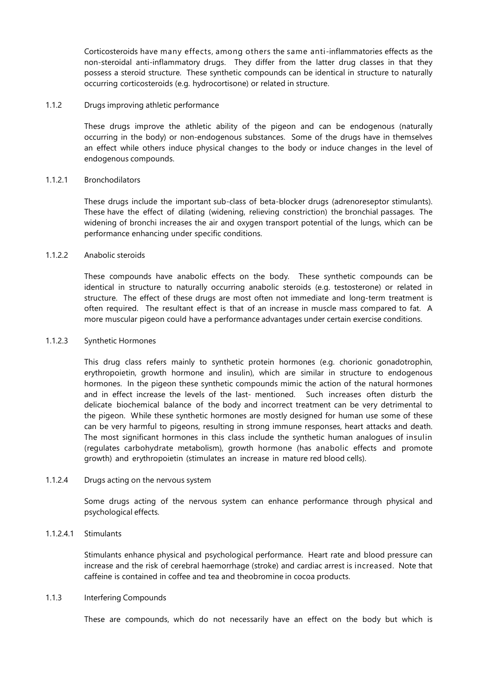Corticosteroids have many effects, among others the same anti-inflammatories effects as the non-steroidal anti-inflammatory drugs. They differ from the latter drug classes in that they possess a steroid structure. These synthetic compounds can be identical in structure to naturally occurring corticosteroids (e.g. hydrocortisone) or related in structure.

#### 1.1.2 Drugs improving athletic performance

These drugs improve the athletic ability of the pigeon and can be endogenous (naturally occurring in the body) or non-endogenous substances. Some of the drugs have in themselves an effect while others induce physical changes to the body or induce changes in the level of endogenous compounds.

#### 1.1.2.1 Bronchodilators

These drugs include the important sub-class of beta-blocker drugs (adrenoreseptor stimulants). These have the effect of dilating (widening, relieving constriction) the bronchial passages. The widening of bronchi increases the air and oxygen transport potential of the lungs, which can be performance enhancing under specific conditions.

#### 1.1.2.2 Anabolic steroids

These compounds have anabolic effects on the body. These synthetic compounds can be identical in structure to naturally occurring anabolic steroids (e.g. testosterone) or related in structure. The effect of these drugs are most often not immediate and long-term treatment is often required. The resultant effect is that of an increase in muscle mass compared to fat. A more muscular pigeon could have a performance advantages under certain exercise conditions.

#### 1.1.2.3 Synthetic Hormones

This drug class refers mainly to synthetic protein hormones (e.g. chorionic gonadotrophin, erythropoietin, growth hormone and insulin), which are similar in structure to endogenous hormones. In the pigeon these synthetic compounds mimic the action of the natural hormones and in effect increase the levels of the last- mentioned. Such increases often disturb the delicate biochemical balance of the body and incorrect treatment can be very detrimental to the pigeon. While these synthetic hormones are mostly designed for human use some of these can be very harmful to pigeons, resulting in strong immune responses, heart attacks and death. The most significant hormones in this class include the synthetic human analogues of insulin (regulates carbohydrate metabolism), growth hormone (has anabolic effects and promote growth) and erythropoietin (stimulates an increase in mature red blood cells).

#### 1.1.2.4 Drugs acting on the nervous system

Some drugs acting of the nervous system can enhance performance through physical and psychological effects.

#### 1.1.2.4.1 Stimulants

Stimulants enhance physical and psychological performance. Heart rate and blood pressure can increase and the risk of cerebral haemorrhage (stroke) and cardiac arrest is increased. Note that caffeine is contained in coffee and tea and theobromine in cocoa products.

#### 1.1.3 Interfering Compounds

These are compounds, which do not necessarily have an effect on the body but which is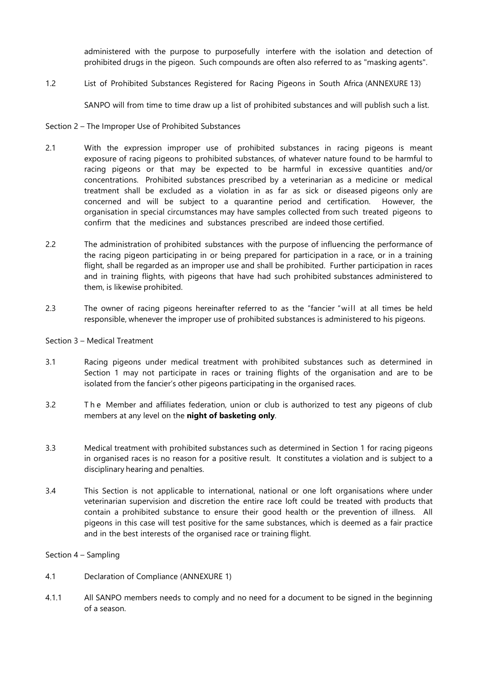administered with the purpose to purposefully interfere with the isolation and detection of prohibited drugs in the pigeon. Such compounds are often also referred to as "masking agents".

1.2 List of Prohibited Substances Registered for Racing Pigeons in South Africa (ANNEXURE 13)

SANPO will from time to time draw up a list of prohibited substances and will publish such a list.

#### Section 2 – The Improper Use of Prohibited Substances

- 2.1 With the expression improper use of prohibited substances in racing pigeons is meant exposure of racing pigeons to prohibited substances, of whatever nature found to be harmful to racing pigeons or that may be expected to be harmful in excessive quantities and/or concentrations. Prohibited substances prescribed by a veterinarian as a medicine or medical treatment shall be excluded as a violation in as far as sick or diseased pigeons only are concerned and will be subject to a quarantine period and certification. However, the organisation in special circumstances may have samples collected from such treated pigeons to confirm that the medicines and substances prescribed are indeed those certified.
- 2.2 The administration of prohibited substances with the purpose of influencing the performance of the racing pigeon participating in or being prepared for participation in a race, or in a training flight, shall be regarded as an improper use and shall be prohibited. Further participation in races and in training flights, with pigeons that have had such prohibited substances administered to them, is likewise prohibited.
- 2.3 The owner of racing pigeons hereinafter referred to as the "fancier "will at all times be held responsible, whenever the improper use of prohibited substances is administered to his pigeons.

#### Section 3 – Medical Treatment

- 3.1 Racing pigeons under medical treatment with prohibited substances such as determined in Section 1 may not participate in races or training flights of the organisation and are to be isolated from the fancier's other pigeons participating in the organised races.
- 3.2 T h e Member and affiliates federation, union or club is authorized to test any pigeons of club members at any level on the **night of basketing only**.
- 3.3 Medical treatment with prohibited substances such as determined in Section 1 for racing pigeons in organised races is no reason for a positive result. It constitutes a violation and is subject to a disciplinary hearing and penalties.
- 3.4 This Section is not applicable to international, national or one loft organisations where under veterinarian supervision and discretion the entire race loft could be treated with products that contain a prohibited substance to ensure their good health or the prevention of illness. All pigeons in this case will test positive for the same substances, which is deemed as a fair practice and in the best interests of the organised race or training flight.

#### Section 4 – Sampling

- 4.1 Declaration of Compliance (ANNEXURE 1)
- 4.1.1 All SANPO members needs to comply and no need for a document to be signed in the beginning of a season.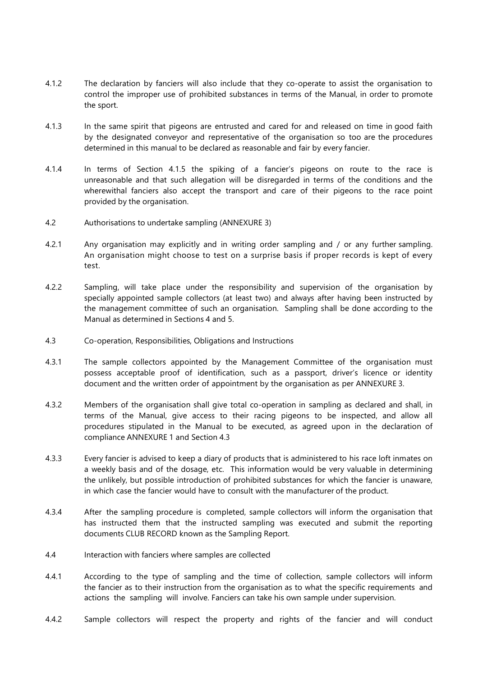- 4.1.2 The declaration by fanciers will also include that they co-operate to assist the organisation to control the improper use of prohibited substances in terms of the Manual, in order to promote the sport.
- 4.1.3 In the same spirit that pigeons are entrusted and cared for and released on time in good faith by the designated conveyor and representative of the organisation so too are the procedures determined in this manual to be declared as reasonable and fair by every fancier.
- 4.1.4 In terms of Section 4.1.5 the spiking of a fancier's pigeons on route to the race is unreasonable and that such allegation will be disregarded in terms of the conditions and the wherewithal fanciers also accept the transport and care of their pigeons to the race point provided by the organisation.
- 4.2 Authorisations to undertake sampling (ANNEXURE 3)
- 4.2.1 Any organisation may explicitly and in writing order sampling and / or any further sampling. An organisation might choose to test on a surprise basis if proper records is kept of every test.
- 4.2.2 Sampling, will take place under the responsibility and supervision of the organisation by specially appointed sample collectors (at least two) and always after having been instructed by the management committee of such an organisation. Sampling shall be done according to the Manual as determined in Sections 4 and 5.
- 4.3 Co-operation, Responsibilities, Obligations and Instructions
- 4.3.1 The sample collectors appointed by the Management Committee of the organisation must possess acceptable proof of identification, such as a passport, driver's licence or identity document and the written order of appointment by the organisation as per ANNEXURE 3.
- 4.3.2 Members of the organisation shall give total co-operation in sampling as declared and shall, in terms of the Manual, give access to their racing pigeons to be inspected, and allow all procedures stipulated in the Manual to be executed, as agreed upon in the declaration of compliance ANNEXURE 1 and Section 4.3
- 4.3.3 Every fancier is advised to keep a diary of products that is administered to his race loft inmates on a weekly basis and of the dosage, etc. This information would be very valuable in determining the unlikely, but possible introduction of prohibited substances for which the fancier is unaware, in which case the fancier would have to consult with the manufacturer of the product.
- 4.3.4 After the sampling procedure is completed, sample collectors will inform the organisation that has instructed them that the instructed sampling was executed and submit the reporting documents CLUB RECORD known as the Sampling Report.
- 4.4 Interaction with fanciers where samples are collected
- 4.4.1 According to the type of sampling and the time of collection, sample collectors will inform the fancier as to their instruction from the organisation as to what the specific requirements and actions the sampling will involve. Fanciers can take his own sample under supervision.
- 4.4.2 Sample collectors will respect the property and rights of the fancier and will conduct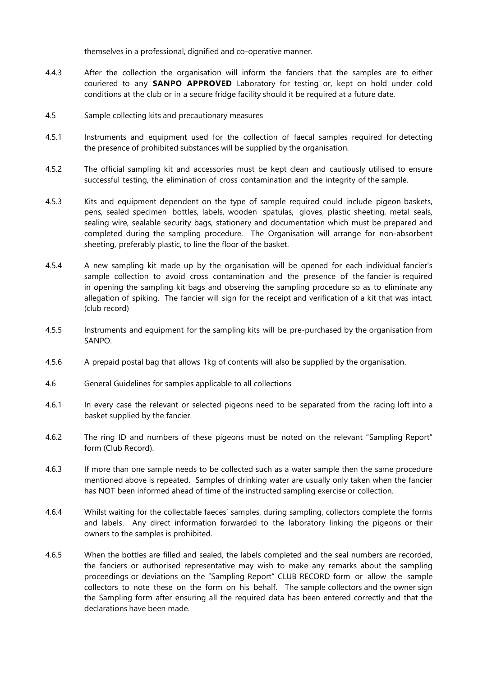themselves in a professional, dignified and co-operative manner.

- 4.4.3 After the collection the organisation will inform the fanciers that the samples are to either couriered to any **SANPO APPROVED** Laboratory for testing or, kept on hold under cold conditions at the club or in a secure fridge facility should it be required at a future date.
- 4.5 Sample collecting kits and precautionary measures
- 4.5.1 Instruments and equipment used for the collection of faecal samples required for detecting the presence of prohibited substances will be supplied by the organisation.
- 4.5.2 The official sampling kit and accessories must be kept clean and cautiously utilised to ensure successful testing, the elimination of cross contamination and the integrity of the sample.
- 4.5.3 Kits and equipment dependent on the type of sample required could include pigeon baskets, pens, sealed specimen bottles, labels, wooden spatulas, gloves, plastic sheeting, metal seals, sealing wire, sealable security bags, stationery and documentation which must be prepared and completed during the sampling procedure. The Organisation will arrange for non-absorbent sheeting, preferably plastic, to line the floor of the basket.
- 4.5.4 A new sampling kit made up by the organisation will be opened for each individual fancier's sample collection to avoid cross contamination and the presence of the fancier is required in opening the sampling kit bags and observing the sampling procedure so as to eliminate any allegation of spiking. The fancier will sign for the receipt and verification of a kit that was intact. (club record)
- 4.5.5 Instruments and equipment for the sampling kits will be pre-purchased by the organisation from SANPO.
- 4.5.6 A prepaid postal bag that allows 1kg of contents will also be supplied by the organisation.
- 4.6 General Guidelines for samples applicable to all collections
- 4.6.1 In every case the relevant or selected pigeons need to be separated from the racing loft into a basket supplied by the fancier.
- 4.6.2 The ring ID and numbers of these pigeons must be noted on the relevant "Sampling Report" form (Club Record).
- 4.6.3 If more than one sample needs to be collected such as a water sample then the same procedure mentioned above is repeated. Samples of drinking water are usually only taken when the fancier has NOT been informed ahead of time of the instructed sampling exercise or collection.
- 4.6.4 Whilst waiting for the collectable faeces' samples, during sampling, collectors complete the forms and labels. Any direct information forwarded to the laboratory linking the pigeons or their owners to the samples is prohibited.
- 4.6.5 When the bottles are filled and sealed, the labels completed and the seal numbers are recorded, the fanciers or authorised representative may wish to make any remarks about the sampling proceedings or deviations on the "Sampling Report" CLUB RECORD form or allow the sample collectors to note these on the form on his behalf. The sample collectors and the owner sign the Sampling form after ensuring all the required data has been entered correctly and that the declarations have been made.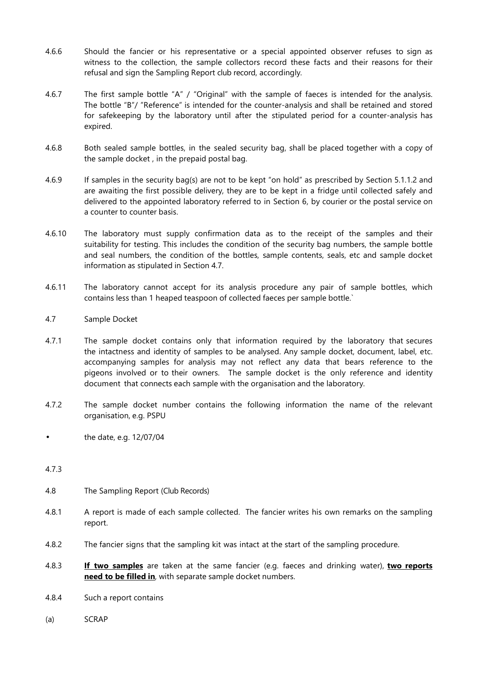- 4.6.6 Should the fancier or his representative or a special appointed observer refuses to sign as witness to the collection, the sample collectors record these facts and their reasons for their refusal and sign the Sampling Report club record, accordingly.
- 4.6.7 The first sample bottle "A" / "Original" with the sample of faeces is intended for the analysis. The bottle "B"/ "Reference" is intended for the counter-analysis and shall be retained and stored for safekeeping by the laboratory until after the stipulated period for a counter-analysis has expired.
- 4.6.8 Both sealed sample bottles, in the sealed security bag, shall be placed together with a copy of the sample docket , in the prepaid postal bag.
- 4.6.9 If samples in the security bag(s) are not to be kept "on hold" as prescribed by Section 5.1.1.2 and are awaiting the first possible delivery, they are to be kept in a fridge until collected safely and delivered to the appointed laboratory referred to in Section 6, by courier or the postal service on a counter to counter basis.
- 4.6.10 The laboratory must supply confirmation data as to the receipt of the samples and their suitability for testing. This includes the condition of the security bag numbers, the sample bottle and seal numbers, the condition of the bottles, sample contents, seals, etc and sample docket information as stipulated in Section 4.7.
- 4.6.11 The laboratory cannot accept for its analysis procedure any pair of sample bottles, which contains less than 1 heaped teaspoon of collected faeces per sample bottle.`
- 4.7 Sample Docket
- 4.7.1 The sample docket contains only that information required by the laboratory that secures the intactness and identity of samples to be analysed. Any sample docket, document, label, etc. accompanying samples for analysis may not reflect any data that bears reference to the pigeons involved or to their owners. The sample docket is the only reference and identity document that connects each sample with the organisation and the laboratory.
- 4.7.2 The sample docket number contains the following information the name of the relevant organisation, e.g. PSPU
- the date, e.g. 12/07/04
- 4.7.3
- 4.8 The Sampling Report (Club Records)
- 4.8.1 A report is made of each sample collected. The fancier writes his own remarks on the sampling report.
- 4.8.2 The fancier signs that the sampling kit was intact at the start of the sampling procedure.
- 4.8.3 **If two samples** are taken at the same fancier (e.g. faeces and drinking water), **two reports need to be filled in**, with separate sample docket numbers.
- 4.8.4 Such a report contains
- (a) SCRAP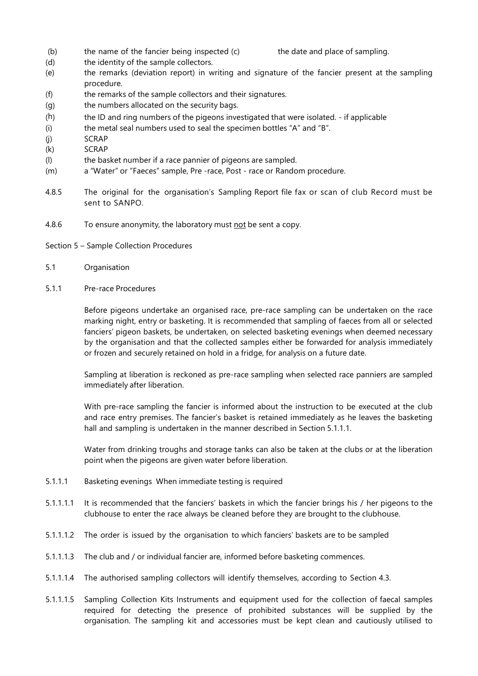(b) the name of the fancier being inspected (c) the date and place of sampling.

- (d) the identity of the sample collectors.
- (e) the remarks (deviation report) in writing and signature of the fancier present at the sampling procedure.
- (f) the remarks of the sample collectors and their signatures.
- (g) the numbers allocated on the security bags.
- (h) the ID and ring numbers of the pigeons investigated that were isolated. if applicable
- (i) the metal seal numbers used to seal the specimen bottles "A" and "B".
- (j) SCRAP
- (k) SCRAP
- (l) the basket number if a race pannier of pigeons are sampled.
- (m) a "Water" or "Faeces" sample, Pre -race, Post race or Random procedure.
- 4.8.5 The original for the organisation's Sampling Report file fax or scan of club Record must be sent to SANPO.
- 4.8.6 To ensure anonymity, the laboratory must not be sent a copy.
- Section 5 Sample Collection Procedures
- 5.1 Organisation
- 5.1.1 Pre-race Procedures

Before pigeons undertake an organised race, pre-race sampling can be undertaken on the race marking night, entry or basketing. It is recommended that sampling of faeces from all or selected fanciers' pigeon baskets, be undertaken, on selected basketing evenings when deemed necessary by the organisation and that the collected samples either be forwarded for analysis immediately or frozen and securely retained on hold in a fridge, for analysis on a future date.

Sampling at liberation is reckoned as pre-race sampling when selected race panniers are sampled immediately after liberation.

With pre-race sampling the fancier is informed about the instruction to be executed at the club and race entry premises. The fancier's basket is retained immediately as he leaves the basketing hall and sampling is undertaken in the manner described in Section 5.1.1.1.

Water from drinking troughs and storage tanks can also be taken at the clubs or at the liberation point when the pigeons are given water before liberation.

- 5.1.1.1 Basketing evenings When immediate testing is required
- 5.1.1.1.1 It is recommended that the fanciers' baskets in which the fancier brings his / her pigeons to the clubhouse to enter the race always be cleaned before they are brought to the clubhouse.
- 5.1.1.1.2 The order is issued by the organisation to which fanciers' baskets are to be sampled
- 5.1.1.1.3 The club and / or individual fancier are, informed before basketing commences.
- 5.1.1.1.4 The authorised sampling collectors will identify themselves, according to Section 4.3.
- 5.1.1.1.5 Sampling Collection Kits Instruments and equipment used for the collection of faecal samples required for detecting the presence of prohibited substances will be supplied by the organisation. The sampling kit and accessories must be kept clean and cautiously utilised to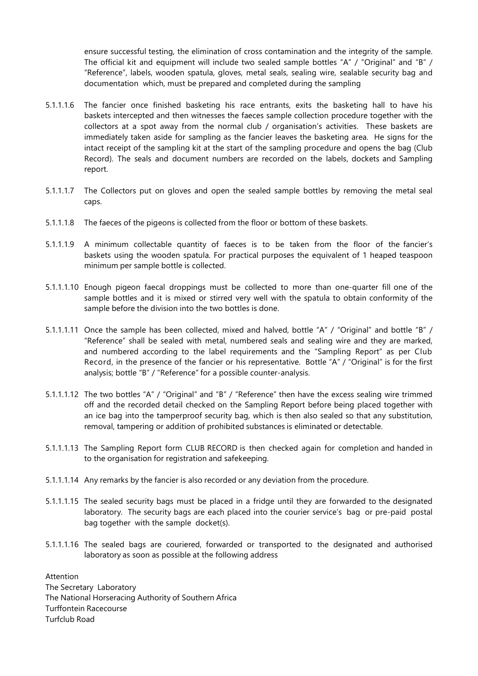ensure successful testing, the elimination of cross contamination and the integrity of the sample. The official kit and equipment will include two sealed sample bottles "A" / "Original" and "B" / "Reference", labels, wooden spatula, gloves, metal seals, sealing wire, sealable security bag and documentation which, must be prepared and completed during the sampling

- 5.1.1.1.6 The fancier once finished basketing his race entrants, exits the basketing hall to have his baskets intercepted and then witnesses the faeces sample collection procedure together with the collectors at a spot away from the normal club / organisation's activities. These baskets are immediately taken aside for sampling as the fancier leaves the basketing area. He signs for the intact receipt of the sampling kit at the start of the sampling procedure and opens the bag (Club Record). The seals and document numbers are recorded on the labels, dockets and Sampling report.
- 5.1.1.1.7 The Collectors put on gloves and open the sealed sample bottles by removing the metal seal caps.
- 5.1.1.1.8 The faeces of the pigeons is collected from the floor or bottom of these baskets.
- 5.1.1.1.9 A minimum collectable quantity of faeces is to be taken from the floor of the fancier's baskets using the wooden spatula. For practical purposes the equivalent of 1 heaped teaspoon minimum per sample bottle is collected.
- 5.1.1.1.10 Enough pigeon faecal droppings must be collected to more than one-quarter fill one of the sample bottles and it is mixed or stirred very well with the spatula to obtain conformity of the sample before the division into the two bottles is done.
- 5.1.1.1.11 Once the sample has been collected, mixed and halved, bottle "A" / "Original" and bottle "B" / "Reference" shall be sealed with metal, numbered seals and sealing wire and they are marked, and numbered according to the label requirements and the "Sampling Report" as per Club Record, in the presence of the fancier or his representative. Bottle "A" / "Original" is for the first analysis; bottle "B" / "Reference" for a possible counter-analysis.
- 5.1.1.1.12 The two bottles "A" / "Original" and "B" / "Reference" then have the excess sealing wire trimmed off and the recorded detail checked on the Sampling Report before being placed together with an ice bag into the tamperproof security bag, which is then also sealed so that any substitution, removal, tampering or addition of prohibited substances is eliminated or detectable.
- 5.1.1.1.13 The Sampling Report form CLUB RECORD is then checked again for completion and handed in to the organisation for registration and safekeeping.
- 5.1.1.1.14 Any remarks by the fancier is also recorded or any deviation from the procedure.
- 5.1.1.1.15 The sealed security bags must be placed in a fridge until they are forwarded to the designated laboratory. The security bags are each placed into the courier service's bag or pre-paid postal bag together with the sample docket(s).
- 5.1.1.1.16 The sealed bags are couriered, forwarded or transported to the designated and authorised laboratory as soon as possible at the following address

Attention The Secretary Laboratory The National Horseracing Authority of Southern Africa Turffontein Racecourse Turfclub Road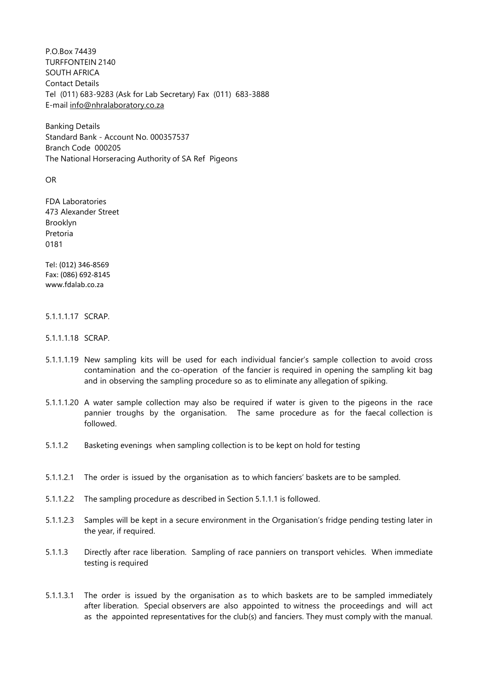P.O.Box 74439 TURFFONTEIN 2140 SOUTH AFRICA Contact Details Tel (011) 683-9283 (Ask for Lab Secretary) Fax (011) 683-3888 E-mail info@nhralaboratory.co.za

Banking Details Standard Bank - Account No. 000357537 Branch Code 000205 The National Horseracing Authority of SA Ref Pigeons

OR

FDA Laboratories 473 Alexander Street Brooklyn Pretoria 0181

Tel: (012) 346-8569 Fax: (086) 692-8145 www.fdalab.co.za

#### 5.1.1.1.17 SCRAP.

- 5.1.1.1.18 SCRAP.
- 5.1.1.1.19 New sampling kits will be used for each individual fancier's sample collection to avoid cross contamination and the co-operation of the fancier is required in opening the sampling kit bag and in observing the sampling procedure so as to eliminate any allegation of spiking.
- 5.1.1.1.20 A water sample collection may also be required if water is given to the pigeons in the race pannier troughs by the organisation. The same procedure as for the faecal collection is followed.
- 5.1.1.2 Basketing evenings when sampling collection is to be kept on hold for testing
- 5.1.1.2.1 The order is issued by the organisation as to which fanciers' baskets are to be sampled.
- 5.1.1.2.2 The sampling procedure as described in Section 5.1.1.1 is followed.
- 5.1.1.2.3 Samples will be kept in a secure environment in the Organisation's fridge pending testing later in the year, if required.
- 5.1.1.3 Directly after race liberation. Sampling of race panniers on transport vehicles. When immediate testing is required
- 5.1.1.3.1 The order is issued by the organisation as to which baskets are to be sampled immediately after liberation. Special observers are also appointed to witness the proceedings and will act as the appointed representatives for the club(s) and fanciers. They must comply with the manual.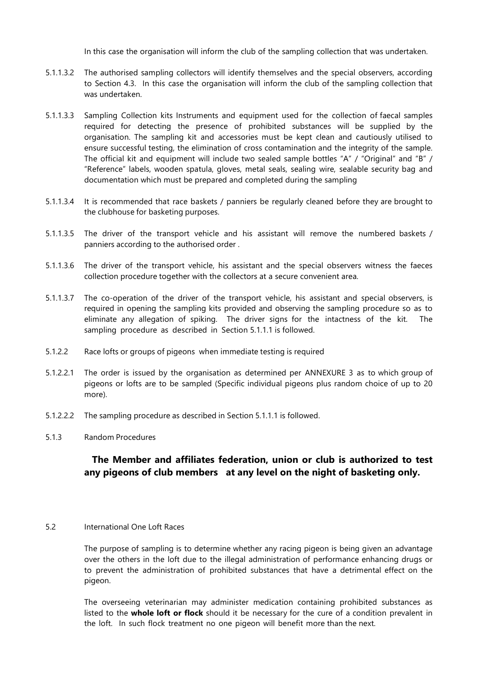In this case the organisation will inform the club of the sampling collection that was undertaken.

- 5.1.1.3.2 The authorised sampling collectors will identify themselves and the special observers, according to Section 4.3. In this case the organisation will inform the club of the sampling collection that was undertaken.
- 5.1.1.3.3 Sampling Collection kits Instruments and equipment used for the collection of faecal samples required for detecting the presence of prohibited substances will be supplied by the organisation. The sampling kit and accessories must be kept clean and cautiously utilised to ensure successful testing, the elimination of cross contamination and the integrity of the sample. The official kit and equipment will include two sealed sample bottles "A" / "Original" and "B" / "Reference" labels, wooden spatula, gloves, metal seals, sealing wire, sealable security bag and documentation which must be prepared and completed during the sampling
- 5.1.1.3.4 It is recommended that race baskets / panniers be regularly cleaned before they are brought to the clubhouse for basketing purposes.
- 5.1.1.3.5 The driver of the transport vehicle and his assistant will remove the numbered baskets / panniers according to the authorised order .
- 5.1.1.3.6 The driver of the transport vehicle, his assistant and the special observers witness the faeces collection procedure together with the collectors at a secure convenient area.
- 5.1.1.3.7 The co-operation of the driver of the transport vehicle, his assistant and special observers, is required in opening the sampling kits provided and observing the sampling procedure so as to eliminate any allegation of spiking. The driver signs for the intactness of the kit. The sampling procedure as described in Section 5.1.1.1 is followed.
- 5.1.2.2 Race lofts or groups of pigeons when immediate testing is required
- 5.1.2.2.1 The order is issued by the organisation as determined per ANNEXURE 3 as to which group of pigeons or lofts are to be sampled (Specific individual pigeons plus random choice of up to 20 more).
- 5.1.2.2.2 The sampling procedure as described in Section 5.1.1.1 is followed.
- 5.1.3 Random Procedures

# **The Member and affiliates federation, union or club is authorized to test any pigeons of club members at any level on the night of basketing only.**

#### 5.2 International One Loft Races

The purpose of sampling is to determine whether any racing pigeon is being given an advantage over the others in the loft due to the illegal administration of performance enhancing drugs or to prevent the administration of prohibited substances that have a detrimental effect on the pigeon.

The overseeing veterinarian may administer medication containing prohibited substances as listed to the **whole loft or flock** should it be necessary for the cure of a condition prevalent in the loft. In such flock treatment no one pigeon will benefit more than the next.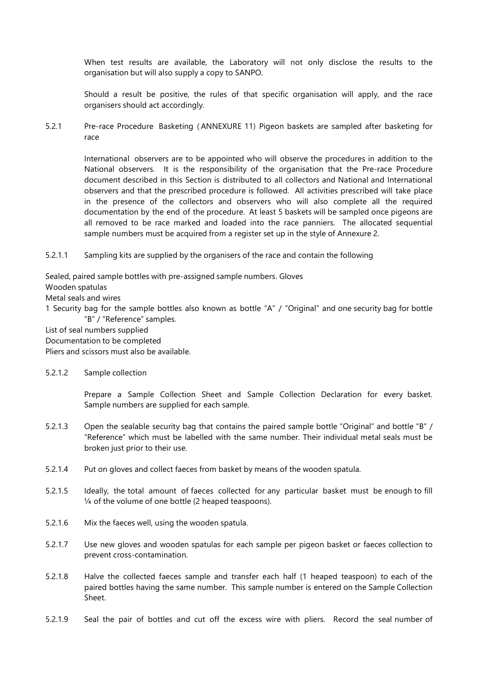When test results are available, the Laboratory will not only disclose the results to the organisation but will also supply a copy to SANPO.

Should a result be positive, the rules of that specific organisation will apply, and the race organisers should act accordingly.

5.2.1 Pre-race Procedure Basketing ( ANNEXURE 11) Pigeon baskets are sampled after basketing for race

International observers are to be appointed who will observe the procedures in addition to the National observers. It is the responsibility of the organisation that the Pre-race Procedure document described in this Section is distributed to all collectors and National and International observers and that the prescribed procedure is followed. All activities prescribed will take place in the presence of the collectors and observers who will also complete all the required documentation by the end of the procedure. At least 5 baskets will be sampled once pigeons are all removed to be race marked and loaded into the race panniers. The allocated sequential sample numbers must be acquired from a register set up in the style of Annexure 2.

5.2.1.1 Sampling kits are supplied by the organisers of the race and contain the following

Sealed, paired sample bottles with pre-assigned sample numbers. Gloves

Wooden spatulas

Metal seals and wires

1 Security bag for the sample bottles also known as bottle "A" / "Original" and one security bag for bottle "B" / "Reference" samples.

List of seal numbers supplied

Documentation to be completed

Pliers and scissors must also be available.

### 5.2.1.2 Sample collection

Prepare a Sample Collection Sheet and Sample Collection Declaration for every basket. Sample numbers are supplied for each sample.

- 5.2.1.3 Open the sealable security bag that contains the paired sample bottle "Original" and bottle "B" / "Reference" which must be labelled with the same number. Their individual metal seals must be broken just prior to their use.
- 5.2.1.4 Put on gloves and collect faeces from basket by means of the wooden spatula.
- 5.2.1.5 Ideally, the total amount of faeces collected for any particular basket must be enough to fill ¼ of the volume of one bottle (2 heaped teaspoons).
- 5.2.1.6 Mix the faeces well, using the wooden spatula.
- 5.2.1.7 Use new gloves and wooden spatulas for each sample per pigeon basket or faeces collection to prevent cross-contamination.
- 5.2.1.8 Halve the collected faeces sample and transfer each half (1 heaped teaspoon) to each of the paired bottles having the same number. This sample number is entered on the Sample Collection Sheet.
- 5.2.1.9 Seal the pair of bottles and cut off the excess wire with pliers. Record the seal number of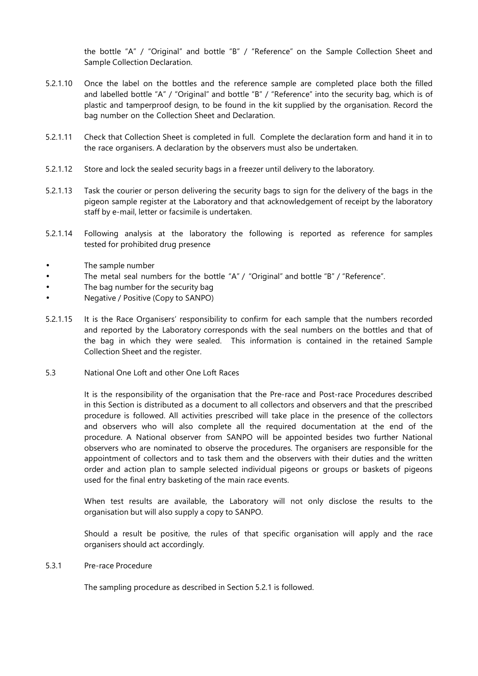the bottle "A" / "Original" and bottle "B" / "Reference" on the Sample Collection Sheet and Sample Collection Declaration.

- 5.2.1.10 Once the label on the bottles and the reference sample are completed place both the filled and labelled bottle "A" / "Original" and bottle "B" / "Reference" into the security bag, which is of plastic and tamperproof design, to be found in the kit supplied by the organisation. Record the bag number on the Collection Sheet and Declaration.
- 5.2.1.11 Check that Collection Sheet is completed in full. Complete the declaration form and hand it in to the race organisers. A declaration by the observers must also be undertaken.
- 5.2.1.12 Store and lock the sealed security bags in a freezer until delivery to the laboratory.
- 5.2.1.13 Task the courier or person delivering the security bags to sign for the delivery of the bags in the pigeon sample register at the Laboratory and that acknowledgement of receipt by the laboratory staff by e-mail, letter or facsimile is undertaken.
- 5.2.1.14 Following analysis at the laboratory the following is reported as reference for samples tested for prohibited drug presence
- The sample number
- The metal seal numbers for the bottle "A" / "Original" and bottle "B" / "Reference".
- The bag number for the security bag
- Negative / Positive (Copy to SANPO)
- 5.2.1.15 It is the Race Organisers' responsibility to confirm for each sample that the numbers recorded and reported by the Laboratory corresponds with the seal numbers on the bottles and that of the bag in which they were sealed. This information is contained in the retained Sample Collection Sheet and the register.
- 5.3 National One Loft and other One Loft Races

It is the responsibility of the organisation that the Pre-race and Post-race Procedures described in this Section is distributed as a document to all collectors and observers and that the prescribed procedure is followed. All activities prescribed will take place in the presence of the collectors and observers who will also complete all the required documentation at the end of the procedure. A National observer from SANPO will be appointed besides two further National observers who are nominated to observe the procedures. The organisers are responsible for the appointment of collectors and to task them and the observers with their duties and the written order and action plan to sample selected individual pigeons or groups or baskets of pigeons used for the final entry basketing of the main race events.

When test results are available, the Laboratory will not only disclose the results to the organisation but will also supply a copy to SANPO.

Should a result be positive, the rules of that specific organisation will apply and the race organisers should act accordingly.

5.3.1 Pre-race Procedure

The sampling procedure as described in Section 5.2.1 is followed.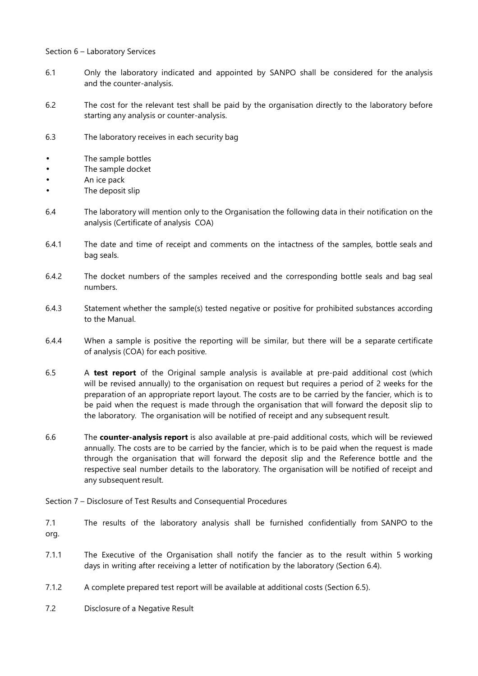Section 6 – Laboratory Services

- 6.1 Only the laboratory indicated and appointed by SANPO shall be considered for the analysis and the counter-analysis.
- 6.2 The cost for the relevant test shall be paid by the organisation directly to the laboratory before starting any analysis or counter-analysis.
- 6.3 The laboratory receives in each security bag
- The sample bottles
- The sample docket
- An ice pack
- The deposit slip
- 6.4 The laboratory will mention only to the Organisation the following data in their notification on the analysis (Certificate of analysis COA)
- 6.4.1 The date and time of receipt and comments on the intactness of the samples, bottle seals and bag seals.
- 6.4.2 The docket numbers of the samples received and the corresponding bottle seals and bag seal numbers.
- 6.4.3 Statement whether the sample(s) tested negative or positive for prohibited substances according to the Manual.
- 6.4.4 When a sample is positive the reporting will be similar, but there will be a separate certificate of analysis (COA) for each positive.
- 6.5 A **test report** of the Original sample analysis is available at pre-paid additional cost (which will be revised annually) to the organisation on request but requires a period of 2 weeks for the preparation of an appropriate report layout. The costs are to be carried by the fancier, which is to be paid when the request is made through the organisation that will forward the deposit slip to the laboratory. The organisation will be notified of receipt and any subsequent result.
- 6.6 The **counter-analysis report** is also available at pre-paid additional costs, which will be reviewed annually. The costs are to be carried by the fancier, which is to be paid when the request is made through the organisation that will forward the deposit slip and the Reference bottle and the respective seal number details to the laboratory. The organisation will be notified of receipt and any subsequent result.
- Section 7 Disclosure of Test Results and Consequential Procedures
- 7.1 The results of the laboratory analysis shall be furnished confidentially from SANPO to the org.
- 7.1.1 The Executive of the Organisation shall notify the fancier as to the result within 5 working days in writing after receiving a letter of notification by the laboratory (Section 6.4).
- 7.1.2 A complete prepared test report will be available at additional costs (Section 6.5).
- 7.2 Disclosure of a Negative Result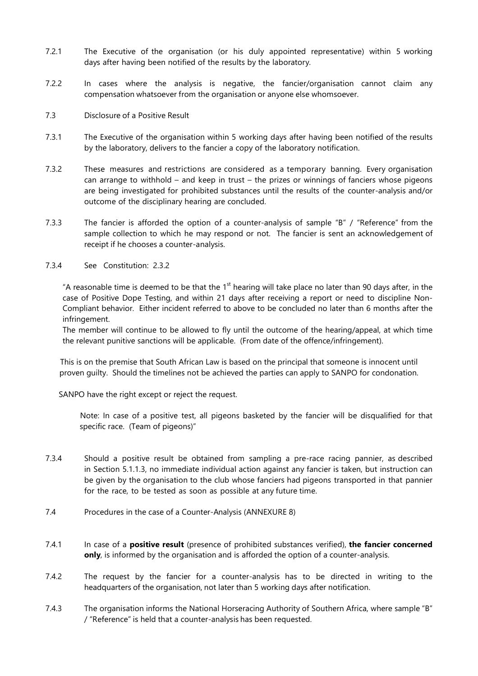- 7.2.1 The Executive of the organisation (or his duly appointed representative) within 5 working days after having been notified of the results by the laboratory.
- 7.2.2 In cases where the analysis is negative, the fancier/organisation cannot claim any compensation whatsoever from the organisation or anyone else whomsoever.
- 7.3 Disclosure of a Positive Result
- 7.3.1 The Executive of the organisation within 5 working days after having been notified of the results by the laboratory, delivers to the fancier a copy of the laboratory notification.
- 7.3.2 These measures and restrictions are considered as a temporary banning. Every organisation can arrange to withhold – and keep in trust – the prizes or winnings of fanciers whose pigeons are being investigated for prohibited substances until the results of the counter-analysis and/or outcome of the disciplinary hearing are concluded.
- 7.3.3 The fancier is afforded the option of a counter-analysis of sample "B" / "Reference" from the sample collection to which he may respond or not. The fancier is sent an acknowledgement of receipt if he chooses a counter-analysis.
- 7.3.4 See Constitution: 2.3.2

"A reasonable time is deemed to be that the  $1<sup>st</sup>$  hearing will take place no later than 90 days after, in the case of Positive Dope Testing, and within 21 days after receiving a report or need to discipline Non-Compliant behavior. Either incident referred to above to be concluded no later than 6 months after the infringement.

The member will continue to be allowed to fly until the outcome of the hearing/appeal, at which time the relevant punitive sanctions will be applicable. (From date of the offence/infringement).

This is on the premise that South African Law is based on the principal that someone is innocent until proven guilty. Should the timelines not be achieved the parties can apply to SANPO for condonation.

SANPO have the right except or reject the request.

Note: In case of a positive test, all pigeons basketed by the fancier will be disqualified for that specific race. (Team of pigeons)"

- 7.3.4 Should a positive result be obtained from sampling a pre-race racing pannier, as described in Section 5.1.1.3, no immediate individual action against any fancier is taken, but instruction can be given by the organisation to the club whose fanciers had pigeons transported in that pannier for the race, to be tested as soon as possible at any future time.
- 7.4 Procedures in the case of a Counter-Analysis (ANNEXURE 8)
- 7.4.1 In case of a **positive result** (presence of prohibited substances verified), **the fancier concerned only**, is informed by the organisation and is afforded the option of a counter-analysis.
- 7.4.2 The request by the fancier for a counter-analysis has to be directed in writing to the headquarters of the organisation, not later than 5 working days after notification.
- 7.4.3 The organisation informs the National Horseracing Authority of Southern Africa, where sample "B" / "Reference" is held that a counter-analysis has been requested.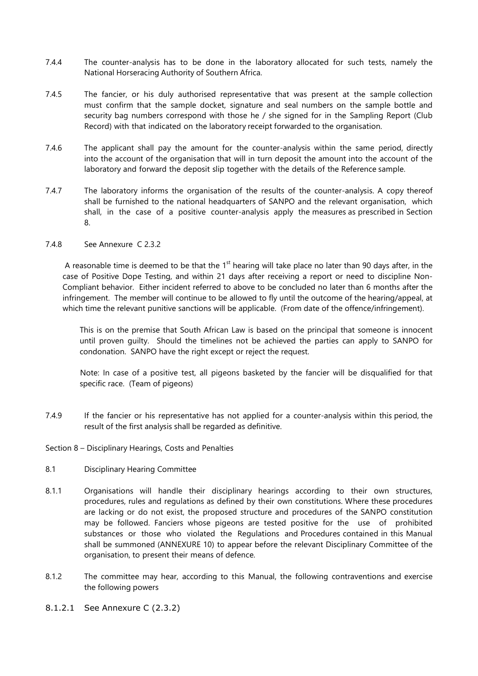- 7.4.4 The counter-analysis has to be done in the laboratory allocated for such tests, namely the National Horseracing Authority of Southern Africa.
- 7.4.5 The fancier, or his duly authorised representative that was present at the sample collection must confirm that the sample docket, signature and seal numbers on the sample bottle and security bag numbers correspond with those he / she signed for in the Sampling Report (Club Record) with that indicated on the laboratory receipt forwarded to the organisation.
- 7.4.6 The applicant shall pay the amount for the counter-analysis within the same period, directly into the account of the organisation that will in turn deposit the amount into the account of the laboratory and forward the deposit slip together with the details of the Reference sample.
- 7.4.7 The laboratory informs the organisation of the results of the counter-analysis. A copy thereof shall be furnished to the national headquarters of SANPO and the relevant organisation, which shall, in the case of a positive counter-analysis apply the measures as prescribed in Section 8.

#### 7.4.8 See Annexure C 2.3.2

A reasonable time is deemed to be that the  $1<sup>st</sup>$  hearing will take place no later than 90 days after, in the case of Positive Dope Testing, and within 21 days after receiving a report or need to discipline Non-Compliant behavior. Either incident referred to above to be concluded no later than 6 months after the infringement. The member will continue to be allowed to fly until the outcome of the hearing/appeal, at which time the relevant punitive sanctions will be applicable. (From date of the offence/infringement).

This is on the premise that South African Law is based on the principal that someone is innocent until proven guilty. Should the timelines not be achieved the parties can apply to SANPO for condonation. SANPO have the right except or reject the request.

Note: In case of a positive test, all pigeons basketed by the fancier will be disqualified for that specific race. (Team of pigeons)

- 7.4.9 If the fancier or his representative has not applied for a counter-analysis within this period, the result of the first analysis shall be regarded as definitive.
- Section 8 Disciplinary Hearings, Costs and Penalties
- 8.1 Disciplinary Hearing Committee
- 8.1.1 Organisations will handle their disciplinary hearings according to their own structures, procedures, rules and regulations as defined by their own constitutions. Where these procedures are lacking or do not exist, the proposed structure and procedures of the SANPO constitution may be followed. Fanciers whose pigeons are tested positive for the use of prohibited substances or those who violated the Regulations and Procedures contained in this Manual shall be summoned (ANNEXURE 10) to appear before the relevant Disciplinary Committee of the organisation, to present their means of defence.
- 8.1.2 The committee may hear, according to this Manual, the following contraventions and exercise the following powers
- 8.1.2.1 See Annexure C (2.3.2)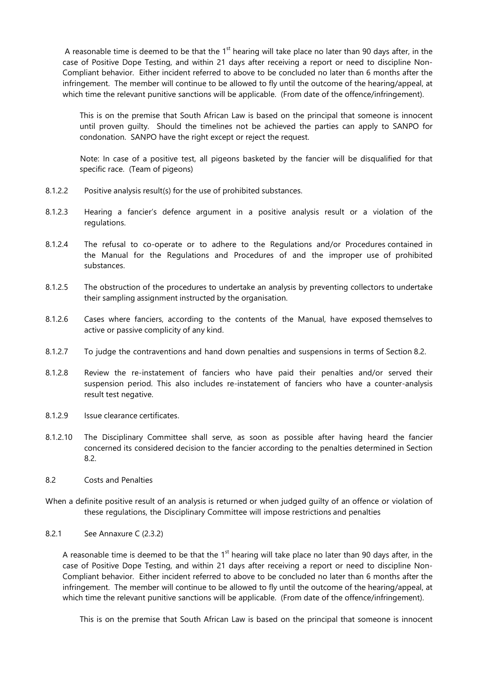A reasonable time is deemed to be that the  $1<sup>st</sup>$  hearing will take place no later than 90 days after, in the case of Positive Dope Testing, and within 21 days after receiving a report or need to discipline Non-Compliant behavior. Either incident referred to above to be concluded no later than 6 months after the infringement. The member will continue to be allowed to fly until the outcome of the hearing/appeal, at which time the relevant punitive sanctions will be applicable. (From date of the offence/infringement).

This is on the premise that South African Law is based on the principal that someone is innocent until proven guilty. Should the timelines not be achieved the parties can apply to SANPO for condonation. SANPO have the right except or reject the request.

Note: In case of a positive test, all pigeons basketed by the fancier will be disqualified for that specific race. (Team of pigeons)

- 8.1.2.2 Positive analysis result(s) for the use of prohibited substances.
- 8.1.2.3 Hearing a fancier's defence argument in a positive analysis result or a violation of the regulations.
- 8.1.2.4 The refusal to co-operate or to adhere to the Regulations and/or Procedures contained in the Manual for the Regulations and Procedures of and the improper use of prohibited substances.
- 8.1.2.5 The obstruction of the procedures to undertake an analysis by preventing collectors to undertake their sampling assignment instructed by the organisation.
- 8.1.2.6 Cases where fanciers, according to the contents of the Manual, have exposed themselves to active or passive complicity of any kind.
- 8.1.2.7 To judge the contraventions and hand down penalties and suspensions in terms of Section 8.2.
- 8.1.2.8 Review the re-instatement of fanciers who have paid their penalties and/or served their suspension period. This also includes re-instatement of fanciers who have a counter-analysis result test negative.
- 8.1.2.9 Issue clearance certificates.
- 8.1.2.10 The Disciplinary Committee shall serve, as soon as possible after having heard the fancier concerned its considered decision to the fancier according to the penalties determined in Section 8.2.
- 8.2 Costs and Penalties
- When a definite positive result of an analysis is returned or when judged guilty of an offence or violation of these regulations, the Disciplinary Committee will impose restrictions and penalties
- 8.2.1 See Annaxure C (2.3.2)

A reasonable time is deemed to be that the  $1<sup>st</sup>$  hearing will take place no later than 90 days after, in the case of Positive Dope Testing, and within 21 days after receiving a report or need to discipline Non-Compliant behavior. Either incident referred to above to be concluded no later than 6 months after the infringement. The member will continue to be allowed to fly until the outcome of the hearing/appeal, at which time the relevant punitive sanctions will be applicable. (From date of the offence/infringement).

This is on the premise that South African Law is based on the principal that someone is innocent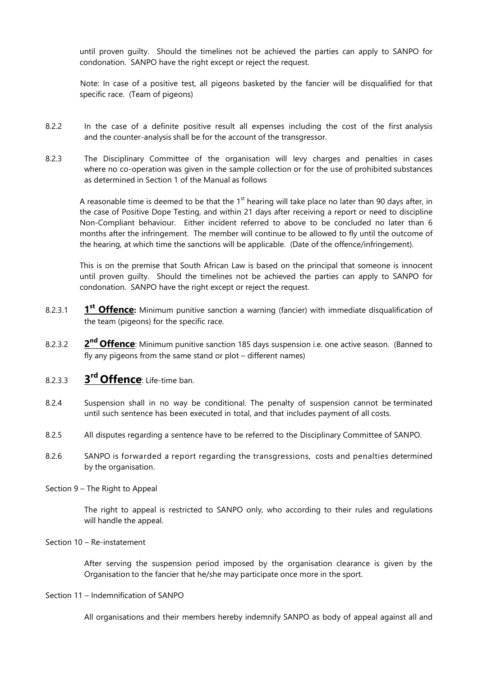until proven guilty. Should the timelines not be achieved the parties can apply to SANPO for condonation. SANPO have the right except or reject the request.

Note: In case of a positive test, all pigeons basketed by the fancier will be disqualified for that specific race. (Team of pigeons)

- 8.2.2 In the case of a definite positive result all expenses including the cost of the first analysis and the counter-analysis shall be for the account of the transgressor.
- 8.2.3 The Disciplinary Committee of the organisation will levy charges and penalties in cases where no co-operation was given in the sample collection or for the use of prohibited substances as determined in Section 1 of the Manual as follows

A reasonable time is deemed to be that the  $1<sup>st</sup>$  hearing will take place no later than 90 days after, in the case of Positive Dope Testing, and within 21 days after receiving a report or need to discipline Non-Compliant behaviour. Either incident referred to above to be concluded no later than 6 months after the infringement. The member will continue to be allowed to fly until the outcome of the hearing, at which time the sanctions will be applicable. (Date of the offence/infringement).

This is on the premise that South African Law is based on the principal that someone is innocent until proven guilty. Should the timelines not be achieved the parties can apply to SANPO for condonation. SANPO have the right except or reject the request.

- 8.2.3.1 **1** 1<sup>st</sup> Offence: Minimum punitive sanction a warning (fancier) with immediate disqualification of the team (pigeons) for the specific race.
- 8.2.3.2 **2** 2<sup>nd</sup> Offence: Minimum punitive sanction 185 days suspension i.e. one active season. (Banned to fly any pigeons from the same stand or plot – different names)
- 8.2.3.3 **3 rd Offence**: Life-time ban.
- 8.2.4 Suspension shall in no way be conditional. The penalty of suspension cannot be terminated until such sentence has been executed in total, and that includes payment of all costs.
- 8.2.5 All disputes regarding a sentence have to be referred to the Disciplinary Committee of SANPO.
- 8.2.6 SANPO is forwarded a report regarding the transgressions, costs and penalties determined by the organisation.
- Section 9 The Right to Appeal

The right to appeal is restricted to SANPO only, who according to their rules and regulations will handle the appeal.

#### Section 10 – Re-instatement

After serving the suspension period imposed by the organisation clearance is given by the Organisation to the fancier that he/she may participate once more in the sport.

#### Section 11 – Indemnification of SANPO

All organisations and their members hereby indemnify SANPO as body of appeal against all and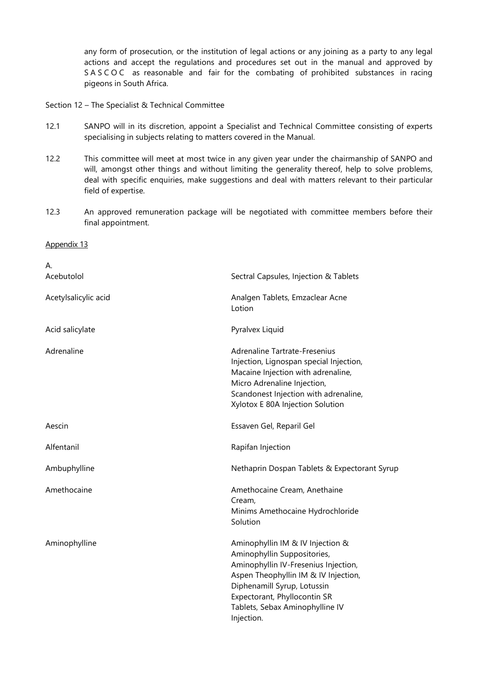any form of prosecution, or the institution of legal actions or any joining as a party to any legal actions and accept the regulations and procedures set out in the manual and approved by SASCOC as reasonable and fair for the combating of prohibited substances in racing pigeons in South Africa.

Section 12 – The Specialist & Technical Committee

- 12.1 SANPO will in its discretion, appoint a Specialist and Technical Committee consisting of experts specialising in subjects relating to matters covered in the Manual.
- 12.2 This committee will meet at most twice in any given year under the chairmanship of SANPO and will, amongst other things and without limiting the generality thereof, help to solve problems, deal with specific enquiries, make suggestions and deal with matters relevant to their particular field of expertise.
- 12.3 An approved remuneration package will be negotiated with committee members before their final appointment.

#### Appendix 13

| А.                   |                                                                                                                                                                                                                                                                 |
|----------------------|-----------------------------------------------------------------------------------------------------------------------------------------------------------------------------------------------------------------------------------------------------------------|
| Acebutolol           | Sectral Capsules, Injection & Tablets                                                                                                                                                                                                                           |
| Acetylsalicylic acid | Analgen Tablets, Emzaclear Acne<br>Lotion                                                                                                                                                                                                                       |
| Acid salicylate      | Pyralvex Liquid                                                                                                                                                                                                                                                 |
| Adrenaline           | Adrenaline Tartrate-Fresenius<br>Injection, Lignospan special Injection,<br>Macaine Injection with adrenaline,<br>Micro Adrenaline Injection,<br>Scandonest Injection with adrenaline,<br>Xylotox E 80A Injection Solution                                      |
| Aescin               | Essaven Gel, Reparil Gel                                                                                                                                                                                                                                        |
| Alfentanil           | Rapifan Injection                                                                                                                                                                                                                                               |
| Ambuphylline         | Nethaprin Dospan Tablets & Expectorant Syrup                                                                                                                                                                                                                    |
| Amethocaine          | Amethocaine Cream, Anethaine<br>Cream,<br>Minims Amethocaine Hydrochloride<br>Solution                                                                                                                                                                          |
| Aminophylline        | Aminophyllin IM & IV Injection &<br>Aminophyllin Suppositories,<br>Aminophyllin IV-Fresenius Injection,<br>Aspen Theophyllin IM & IV Injection,<br>Diphenamill Syrup, Lotussin<br>Expectorant, Phyllocontin SR<br>Tablets, Sebax Aminophylline IV<br>Injection. |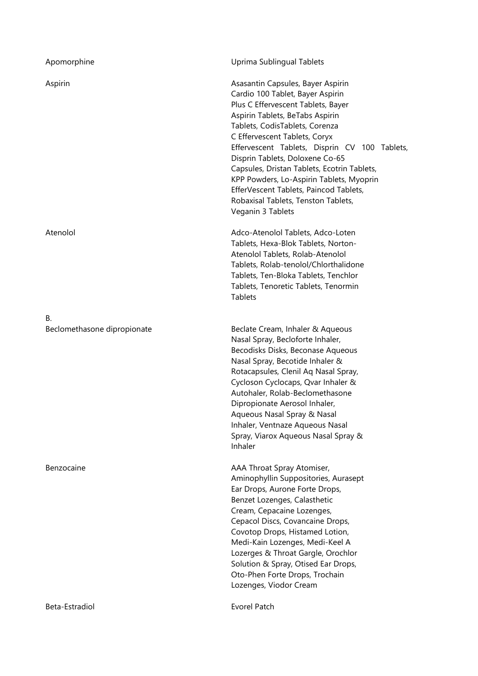| Apomorphine                       | Uprima Sublingual Tablets                                                                                                                                                                                                                                                                                                                                                                                                                                                                              |
|-----------------------------------|--------------------------------------------------------------------------------------------------------------------------------------------------------------------------------------------------------------------------------------------------------------------------------------------------------------------------------------------------------------------------------------------------------------------------------------------------------------------------------------------------------|
| Aspirin                           | Asasantin Capsules, Bayer Aspirin<br>Cardio 100 Tablet, Bayer Aspirin<br>Plus C Effervescent Tablets, Bayer<br>Aspirin Tablets, BeTabs Aspirin<br>Tablets, CodisTablets, Corenza<br>C Effervescent Tablets, Coryx<br>Effervescent Tablets, Disprin CV 100 Tablets,<br>Disprin Tablets, Doloxene Co-65<br>Capsules, Dristan Tablets, Ecotrin Tablets,<br>KPP Powders, Lo-Aspirin Tablets, Myoprin<br>EfferVescent Tablets, Paincod Tablets,<br>Robaxisal Tablets, Tenston Tablets,<br>Veganin 3 Tablets |
| Atenolol                          | Adco-Atenolol Tablets, Adco-Loten<br>Tablets, Hexa-Blok Tablets, Norton-<br>Atenolol Tablets, Rolab-Atenolol<br>Tablets, Rolab-tenolol/Chlorthalidone<br>Tablets, Ten-Bloka Tablets, Tenchlor<br>Tablets, Tenoretic Tablets, Tenormin<br><b>Tablets</b>                                                                                                                                                                                                                                                |
| В.<br>Beclomethasone dipropionate | Beclate Cream, Inhaler & Aqueous<br>Nasal Spray, Becloforte Inhaler,<br>Becodisks Disks, Beconase Aqueous<br>Nasal Spray, Becotide Inhaler &<br>Rotacapsules, Clenil Aq Nasal Spray,<br>Cycloson Cyclocaps, Qvar Inhaler &<br>Autohaler, Rolab-Beclomethasone<br>Dipropionate Aerosol Inhaler,<br>Aqueous Nasal Spray & Nasal<br>Inhaler, Ventnaze Aqueous Nasal<br>Spray, Viarox Aqueous Nasal Spray &<br>Inhaler                                                                                     |
| Benzocaine                        | AAA Throat Spray Atomiser,<br>Aminophyllin Suppositories, Aurasept<br>Ear Drops, Aurone Forte Drops,<br>Benzet Lozenges, Calasthetic<br>Cream, Cepacaine Lozenges,<br>Cepacol Discs, Covancaine Drops,<br>Covotop Drops, Histamed Lotion,<br>Medi-Kain Lozenges, Medi-Keel A<br>Lozerges & Throat Gargle, Orochlor<br>Solution & Spray, Otised Ear Drops,<br>Oto-Phen Forte Drops, Trochain<br>Lozenges, Viodor Cream                                                                                  |
| Beta-Estradiol                    | <b>Evorel Patch</b>                                                                                                                                                                                                                                                                                                                                                                                                                                                                                    |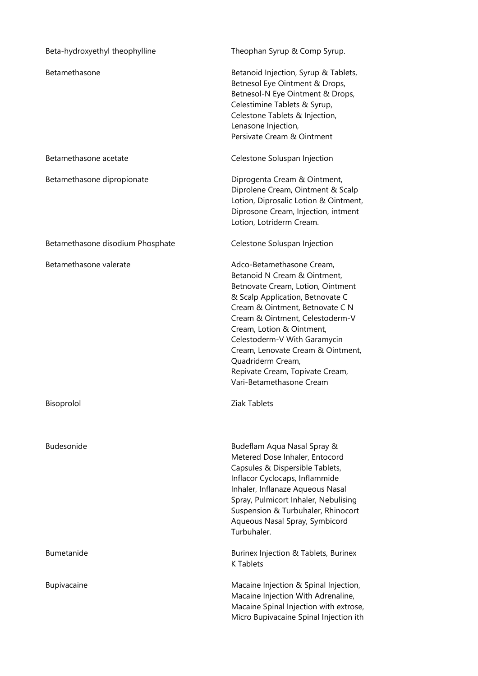| Beta-hydroxyethyl theophylline   | Theophan Syrup & Comp Syrup.                                                                                                                                                                                                                                                                                                                                                                   |
|----------------------------------|------------------------------------------------------------------------------------------------------------------------------------------------------------------------------------------------------------------------------------------------------------------------------------------------------------------------------------------------------------------------------------------------|
| Betamethasone                    | Betanoid Injection, Syrup & Tablets,<br>Betnesol Eye Ointment & Drops,<br>Betnesol-N Eye Ointment & Drops,<br>Celestimine Tablets & Syrup,<br>Celestone Tablets & Injection,<br>Lenasone Injection,<br>Persivate Cream & Ointment                                                                                                                                                              |
| Betamethasone acetate            | Celestone Soluspan Injection                                                                                                                                                                                                                                                                                                                                                                   |
| Betamethasone dipropionate       | Diprogenta Cream & Ointment,<br>Diprolene Cream, Ointment & Scalp<br>Lotion, Diprosalic Lotion & Ointment,<br>Diprosone Cream, Injection, intment<br>Lotion, Lotriderm Cream.                                                                                                                                                                                                                  |
| Betamethasone disodium Phosphate | Celestone Soluspan Injection                                                                                                                                                                                                                                                                                                                                                                   |
| Betamethasone valerate           | Adco-Betamethasone Cream,<br>Betanoid N Cream & Ointment,<br>Betnovate Cream, Lotion, Ointment<br>& Scalp Application, Betnovate C<br>Cream & Ointment, Betnovate C N<br>Cream & Ointment, Celestoderm-V<br>Cream, Lotion & Ointment,<br>Celestoderm-V With Garamycin<br>Cream, Lenovate Cream & Ointment,<br>Quadriderm Cream,<br>Repivate Cream, Topivate Cream,<br>Vari-Betamethasone Cream |
| Bisoprolol                       | Ziak Tablets                                                                                                                                                                                                                                                                                                                                                                                   |
| Budesonide                       | Budeflam Aqua Nasal Spray &<br>Metered Dose Inhaler, Entocord<br>Capsules & Dispersible Tablets,<br>Inflacor Cyclocaps, Inflammide<br>Inhaler, Inflanaze Aqueous Nasal<br>Spray, Pulmicort Inhaler, Nebulising<br>Suspension & Turbuhaler, Rhinocort<br>Aqueous Nasal Spray, Symbicord<br>Turbuhaler.                                                                                          |
| Bumetanide                       | Burinex Injection & Tablets, Burinex<br><b>K</b> Tablets                                                                                                                                                                                                                                                                                                                                       |
| Bupivacaine                      | Macaine Injection & Spinal Injection,<br>Macaine Injection With Adrenaline,<br>Macaine Spinal Injection with extrose,<br>Micro Bupivacaine Spinal Injection ith                                                                                                                                                                                                                                |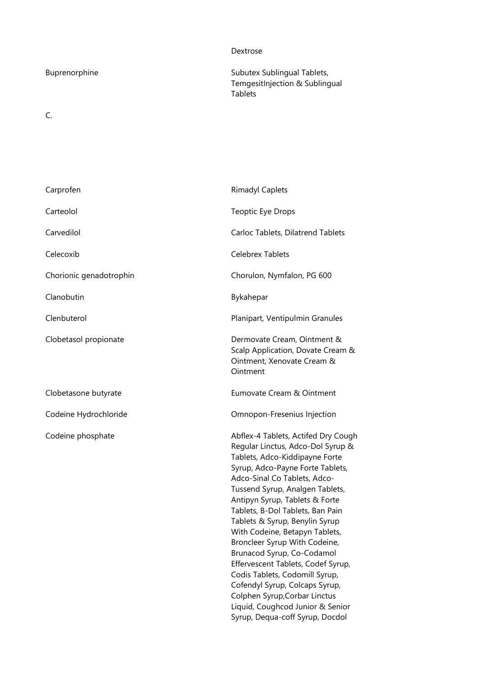## Dextrose

C.

Buprenorphine Subutex Sublingual Tablets, TemgesitInjection & Sublingual Tablets

| Carprofen               | <b>Rimadyl Caplets</b>                                                                                                                                                                                                                                                                                                                                                                                                                                                                                                                                                                                                                       |
|-------------------------|----------------------------------------------------------------------------------------------------------------------------------------------------------------------------------------------------------------------------------------------------------------------------------------------------------------------------------------------------------------------------------------------------------------------------------------------------------------------------------------------------------------------------------------------------------------------------------------------------------------------------------------------|
| Carteolol               | Teoptic Eye Drops                                                                                                                                                                                                                                                                                                                                                                                                                                                                                                                                                                                                                            |
| Carvedilol              | Carloc Tablets, Dilatrend Tablets                                                                                                                                                                                                                                                                                                                                                                                                                                                                                                                                                                                                            |
| Celecoxib               | <b>Celebrex Tablets</b>                                                                                                                                                                                                                                                                                                                                                                                                                                                                                                                                                                                                                      |
| Chorionic genadotrophin | Chorulon, Nymfalon, PG 600                                                                                                                                                                                                                                                                                                                                                                                                                                                                                                                                                                                                                   |
| Clanobutin              | Bykahepar                                                                                                                                                                                                                                                                                                                                                                                                                                                                                                                                                                                                                                    |
| Clenbuterol             | Planipart, Ventipulmin Granules                                                                                                                                                                                                                                                                                                                                                                                                                                                                                                                                                                                                              |
| Clobetasol propionate   | Dermovate Cream, Ointment &<br>Scalp Application, Dovate Cream &<br>Ointment, Xenovate Cream &<br>Ointment                                                                                                                                                                                                                                                                                                                                                                                                                                                                                                                                   |
| Clobetasone butyrate    | Eumovate Cream & Ointment                                                                                                                                                                                                                                                                                                                                                                                                                                                                                                                                                                                                                    |
| Codeine Hydrochloride   | Omnopon-Fresenius Injection                                                                                                                                                                                                                                                                                                                                                                                                                                                                                                                                                                                                                  |
| Codeine phosphate       | Abflex-4 Tablets, Actifed Dry Cough<br>Regular Linctus, Adco-Dol Syrup &<br>Tablets, Adco-Kiddipayne Forte<br>Syrup, Adco-Payne Forte Tablets,<br>Adco-Sinal Co Tablets, Adco-<br>Tussend Syrup, Analgen Tablets,<br>Antipyn Syrup, Tablets & Forte<br>Tablets, B-Dol Tablets, Ban Pain<br>Tablets & Syrup, Benylin Syrup<br>With Codeine, Betapyn Tablets,<br>Broncleer Syrup With Codeine,<br>Brunacod Syrup, Co-Codamol<br>Effervescent Tablets, Codef Syrup,<br>Codis Tablets, Codomill Syrup,<br>Cofendyl Syrup, Colcaps Syrup,<br>Colphen Syrup, Corbar Linctus<br>Liquid, Coughcod Junior & Senior<br>Syrup, Dequa-coff Syrup, Docdol |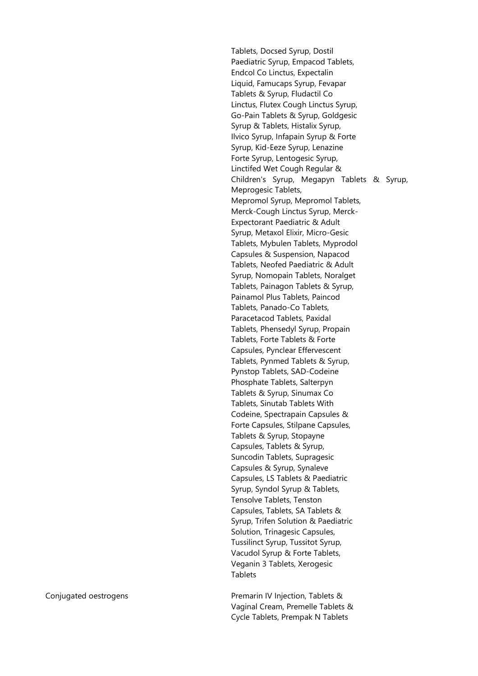Tablets, Docsed Syrup, Dostil Paediatric Syrup, Empacod Tablets, Endcol Co Linctus, Expectalin Liquid, Famucaps Syrup, Fevapar Tablets & Syrup, Fludactil Co Linctus, Flutex Cough Linctus Syrup, Go-Pain Tablets & Syrup, Goldgesic Syrup & Tablets, Histalix Syrup, Ilvico Syrup, Infapain Syrup & Forte Syrup, Kid-Eeze Syrup, Lenazine Forte Syrup, Lentogesic Syrup, Linctifed Wet Cough Regular & Children's Syrup, Megapyn Tablets & Syrup, Meprogesic Tablets, Mepromol Syrup, Mepromol Tablets, Merck-Cough Linctus Syrup, Merck-Expectorant Paediatric & Adult Syrup, Metaxol Elixir, Micro-Gesic Tablets, Mybulen Tablets, Myprodol Capsules & Suspension, Napacod Tablets, Neofed Paediatric & Adult Syrup, Nomopain Tablets, Noralget Tablets, Painagon Tablets & Syrup, Painamol Plus Tablets, Paincod Tablets, Panado-Co Tablets, Paracetacod Tablets, Paxidal Tablets, Phensedyl Syrup, Propain Tablets, Forte Tablets & Forte Capsules, Pynclear Effervescent Tablets, Pynmed Tablets & Syrup, Pynstop Tablets, SAD-Codeine Phosphate Tablets, Salterpyn Tablets & Syrup, Sinumax Co Tablets, Sinutab Tablets With Codeine, Spectrapain Capsules & Forte Capsules, Stilpane Capsules, Tablets & Syrup, Stopayne Capsules, Tablets & Syrup, Suncodin Tablets, Supragesic Capsules & Syrup, Synaleve Capsules, LS Tablets & Paediatric Syrup, Syndol Syrup & Tablets, Tensolve Tablets, Tenston Capsules, Tablets, SA Tablets & Syrup, Trifen Solution & Paediatric Solution, Trinagesic Capsules, Tussilinct Syrup, Tussitot Syrup, Vacudol Syrup & Forte Tablets, Veganin 3 Tablets, Xerogesic Tablets

Conjugated oestrogens **Premarin IV Injection, Tablets &** Vaginal Cream, Premelle Tablets & Cycle Tablets, Prempak N Tablets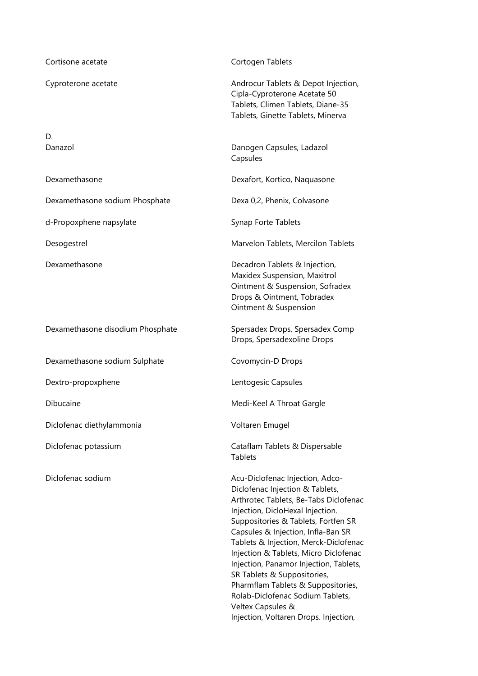| Cortisone acetate                | Cortogen Tablets                                                                                                                                                                                                                                                                                                                                                                                                                                                                                                                |
|----------------------------------|---------------------------------------------------------------------------------------------------------------------------------------------------------------------------------------------------------------------------------------------------------------------------------------------------------------------------------------------------------------------------------------------------------------------------------------------------------------------------------------------------------------------------------|
| Cyproterone acetate              | Androcur Tablets & Depot Injection,<br>Cipla-Cyproterone Acetate 50<br>Tablets, Climen Tablets, Diane-35<br>Tablets, Ginette Tablets, Minerva                                                                                                                                                                                                                                                                                                                                                                                   |
| D.<br>Danazol                    | Danogen Capsules, Ladazol<br>Capsules                                                                                                                                                                                                                                                                                                                                                                                                                                                                                           |
| Dexamethasone                    | Dexafort, Kortico, Naquasone                                                                                                                                                                                                                                                                                                                                                                                                                                                                                                    |
| Dexamethasone sodium Phosphate   | Dexa 0,2, Phenix, Colvasone                                                                                                                                                                                                                                                                                                                                                                                                                                                                                                     |
| d-Propoxphene napsylate          | Synap Forte Tablets                                                                                                                                                                                                                                                                                                                                                                                                                                                                                                             |
| Desogestrel                      | Marvelon Tablets, Mercilon Tablets                                                                                                                                                                                                                                                                                                                                                                                                                                                                                              |
| Dexamethasone                    | Decadron Tablets & Injection,<br>Maxidex Suspension, Maxitrol<br>Ointment & Suspension, Sofradex<br>Drops & Ointment, Tobradex<br>Ointment & Suspension                                                                                                                                                                                                                                                                                                                                                                         |
| Dexamethasone disodium Phosphate | Spersadex Drops, Spersadex Comp<br>Drops, Spersadexoline Drops                                                                                                                                                                                                                                                                                                                                                                                                                                                                  |
| Dexamethasone sodium Sulphate    | Covomycin-D Drops                                                                                                                                                                                                                                                                                                                                                                                                                                                                                                               |
| Dextro-propoxphene               | Lentogesic Capsules                                                                                                                                                                                                                                                                                                                                                                                                                                                                                                             |
| Dibucaine                        | Medi-Keel A Throat Gargle                                                                                                                                                                                                                                                                                                                                                                                                                                                                                                       |
| Diclofenac diethylammonia        | Voltaren Emugel                                                                                                                                                                                                                                                                                                                                                                                                                                                                                                                 |
| Diclofenac potassium             | Cataflam Tablets & Dispersable<br><b>Tablets</b>                                                                                                                                                                                                                                                                                                                                                                                                                                                                                |
| Diclofenac sodium                | Acu-Diclofenac Injection, Adco-<br>Diclofenac Injection & Tablets,<br>Arthrotec Tablets, Be-Tabs Diclofenac<br>Injection, DicloHexal Injection.<br>Suppositories & Tablets, Fortfen SR<br>Capsules & Injection, Infla-Ban SR<br>Tablets & Injection, Merck-Diclofenac<br>Injection & Tablets, Micro Diclofenac<br>Injection, Panamor Injection, Tablets,<br>SR Tablets & Suppositories,<br>Pharmflam Tablets & Suppositories,<br>Rolab-Diclofenac Sodium Tablets,<br>Veltex Capsules &<br>Injection, Voltaren Drops. Injection, |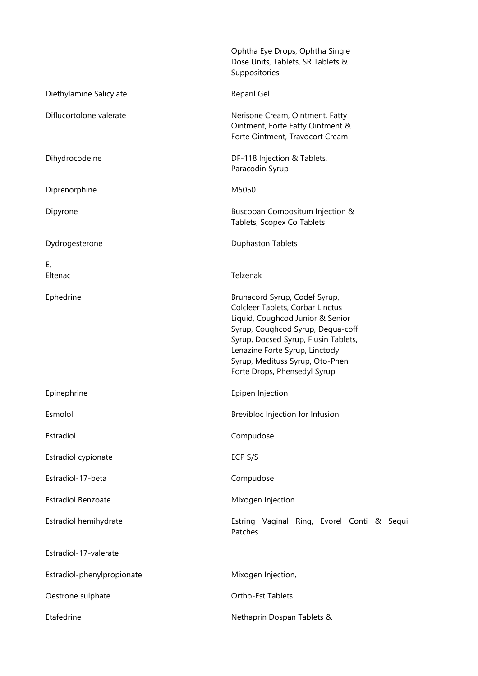|                            | Ophtha Eye Drops, Ophtha Single<br>Dose Units, Tablets, SR Tablets &<br>Suppositories.                                                                                                                                                                                                   |
|----------------------------|------------------------------------------------------------------------------------------------------------------------------------------------------------------------------------------------------------------------------------------------------------------------------------------|
| Diethylamine Salicylate    | Reparil Gel                                                                                                                                                                                                                                                                              |
| Diflucortolone valerate    | Nerisone Cream, Ointment, Fatty<br>Ointment, Forte Fatty Ointment &<br>Forte Ointment, Travocort Cream                                                                                                                                                                                   |
| Dihydrocodeine             | DF-118 Injection & Tablets,<br>Paracodin Syrup                                                                                                                                                                                                                                           |
| Diprenorphine              | M5050                                                                                                                                                                                                                                                                                    |
| Dipyrone                   | Buscopan Compositum Injection &<br>Tablets, Scopex Co Tablets                                                                                                                                                                                                                            |
| Dydrogesterone             | <b>Duphaston Tablets</b>                                                                                                                                                                                                                                                                 |
| Ε.<br>Eltenac              | Telzenak                                                                                                                                                                                                                                                                                 |
| Ephedrine                  | Brunacord Syrup, Codef Syrup,<br>Colcleer Tablets, Corbar Linctus<br>Liquid, Coughcod Junior & Senior<br>Syrup, Coughcod Syrup, Dequa-coff<br>Syrup, Docsed Syrup, Flusin Tablets,<br>Lenazine Forte Syrup, Linctodyl<br>Syrup, Medituss Syrup, Oto-Phen<br>Forte Drops, Phensedyl Syrup |
| Epinephrine                | Epipen Injection                                                                                                                                                                                                                                                                         |
| Esmolol                    | Brevibloc Injection for Infusion                                                                                                                                                                                                                                                         |
| Estradiol                  | Compudose                                                                                                                                                                                                                                                                                |
| Estradiol cypionate        | ECP S/S                                                                                                                                                                                                                                                                                  |
| Estradiol-17-beta          | Compudose                                                                                                                                                                                                                                                                                |
| <b>Estradiol Benzoate</b>  | Mixogen Injection                                                                                                                                                                                                                                                                        |
| Estradiol hemihydrate      | Estring Vaginal Ring, Evorel Conti & Sequi<br>Patches                                                                                                                                                                                                                                    |
| Estradiol-17-valerate      |                                                                                                                                                                                                                                                                                          |
| Estradiol-phenylpropionate | Mixogen Injection,                                                                                                                                                                                                                                                                       |
| Oestrone sulphate          | Ortho-Est Tablets                                                                                                                                                                                                                                                                        |
| Etafedrine                 | Nethaprin Dospan Tablets &                                                                                                                                                                                                                                                               |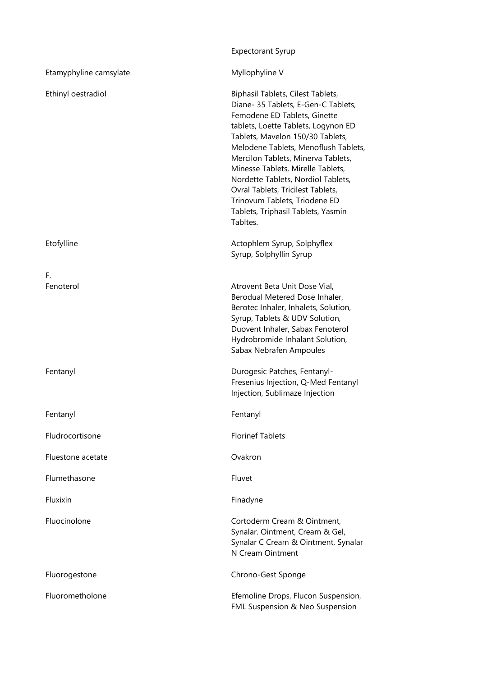|                        | <b>Expectorant Syrup</b>                                                                                                                                                                                                                                                                                                                                                                                                                                             |
|------------------------|----------------------------------------------------------------------------------------------------------------------------------------------------------------------------------------------------------------------------------------------------------------------------------------------------------------------------------------------------------------------------------------------------------------------------------------------------------------------|
| Etamyphyline camsylate | Myllophyline V                                                                                                                                                                                                                                                                                                                                                                                                                                                       |
| Ethinyl oestradiol     | Biphasil Tablets, Cilest Tablets,<br>Diane- 35 Tablets, E-Gen-C Tablets,<br>Femodene ED Tablets, Ginette<br>tablets, Loette Tablets, Logynon ED<br>Tablets, Mavelon 150/30 Tablets,<br>Melodene Tablets, Menoflush Tablets,<br>Mercilon Tablets, Minerva Tablets,<br>Minesse Tablets, Mirelle Tablets,<br>Nordette Tablets, Nordiol Tablets,<br>Ovral Tablets, Tricilest Tablets,<br>Trinovum Tablets, Triodene ED<br>Tablets, Triphasil Tablets, Yasmin<br>Tabltes. |
| Etofylline             | Actophlem Syrup, Solphyflex<br>Syrup, Solphyllin Syrup                                                                                                                                                                                                                                                                                                                                                                                                               |
| F.<br>Fenoterol        | Atrovent Beta Unit Dose Vial,<br>Berodual Metered Dose Inhaler,<br>Berotec Inhaler, Inhalets, Solution,<br>Syrup, Tablets & UDV Solution,<br>Duovent Inhaler, Sabax Fenoterol<br>Hydrobromide Inhalant Solution,<br>Sabax Nebrafen Ampoules                                                                                                                                                                                                                          |
| Fentanyl               | Durogesic Patches, Fentanyl-<br>Fresenius Injection, Q-Med Fentanyl<br>Injection, Sublimaze Injection                                                                                                                                                                                                                                                                                                                                                                |
| Fentanyl               | Fentanyl                                                                                                                                                                                                                                                                                                                                                                                                                                                             |
| Fludrocortisone        | <b>Florinef Tablets</b>                                                                                                                                                                                                                                                                                                                                                                                                                                              |
| Fluestone acetate      | Ovakron                                                                                                                                                                                                                                                                                                                                                                                                                                                              |
| Flumethasone           | Fluvet                                                                                                                                                                                                                                                                                                                                                                                                                                                               |
| Fluxixin               | Finadyne                                                                                                                                                                                                                                                                                                                                                                                                                                                             |
| Fluocinolone           | Cortoderm Cream & Ointment,<br>Synalar. Ointment, Cream & Gel,<br>Synalar C Cream & Ointment, Synalar<br>N Cream Ointment                                                                                                                                                                                                                                                                                                                                            |
| Fluorogestone          | Chrono-Gest Sponge                                                                                                                                                                                                                                                                                                                                                                                                                                                   |
| Fluorometholone        | Efemoline Drops, Flucon Suspension,<br>FML Suspension & Neo Suspension                                                                                                                                                                                                                                                                                                                                                                                               |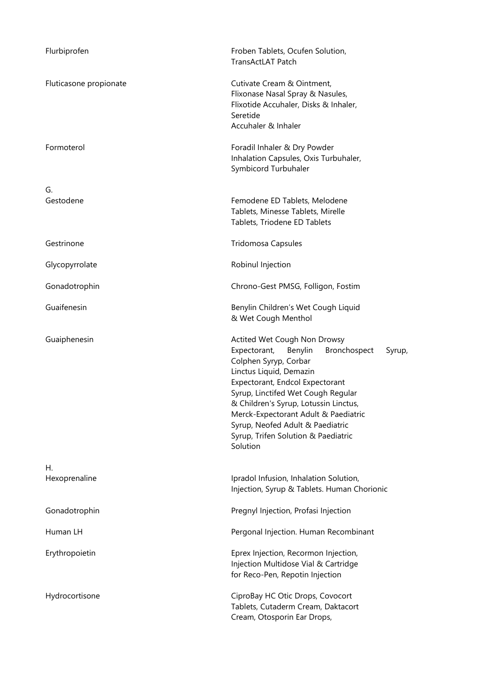| Flurbiprofen           | Froben Tablets, Ocufen Solution,<br>TransActLAT Patch                                                                                                                                                                                                                                                                                                                                  |
|------------------------|----------------------------------------------------------------------------------------------------------------------------------------------------------------------------------------------------------------------------------------------------------------------------------------------------------------------------------------------------------------------------------------|
| Fluticasone propionate | Cutivate Cream & Ointment,<br>Flixonase Nasal Spray & Nasules,<br>Flixotide Accuhaler, Disks & Inhaler,<br>Seretide<br>Accuhaler & Inhaler                                                                                                                                                                                                                                             |
| Formoterol             | Foradil Inhaler & Dry Powder<br>Inhalation Capsules, Oxis Turbuhaler,<br>Symbicord Turbuhaler                                                                                                                                                                                                                                                                                          |
| G.<br>Gestodene        | Femodene ED Tablets, Melodene<br>Tablets, Minesse Tablets, Mirelle<br>Tablets, Triodene ED Tablets                                                                                                                                                                                                                                                                                     |
| Gestrinone             | <b>Tridomosa Capsules</b>                                                                                                                                                                                                                                                                                                                                                              |
| Glycopyrrolate         | Robinul Injection                                                                                                                                                                                                                                                                                                                                                                      |
| Gonadotrophin          | Chrono-Gest PMSG, Folligon, Fostim                                                                                                                                                                                                                                                                                                                                                     |
| Guaifenesin            | Benylin Children's Wet Cough Liquid<br>& Wet Cough Menthol                                                                                                                                                                                                                                                                                                                             |
| Guaiphenesin           | Actited Wet Cough Non Drowsy<br>Expectorant,<br>Benylin<br>Bronchospect<br>Syrup,<br>Colphen Syryp, Corbar<br>Linctus Liquid, Demazin<br>Expectorant, Endcol Expectorant<br>Syrup, Linctifed Wet Cough Regular<br>& Children's Syrup, Lotussin Linctus,<br>Merck-Expectorant Adult & Paediatric<br>Syrup, Neofed Adult & Paediatric<br>Syrup, Trifen Solution & Paediatric<br>Solution |
| Η.<br>Hexoprenaline    | Ipradol Infusion, Inhalation Solution,<br>Injection, Syrup & Tablets. Human Chorionic                                                                                                                                                                                                                                                                                                  |
| Gonadotrophin          | Pregnyl Injection, Profasi Injection                                                                                                                                                                                                                                                                                                                                                   |
| Human LH               | Pergonal Injection. Human Recombinant                                                                                                                                                                                                                                                                                                                                                  |
| Erythropoietin         | Eprex Injection, Recormon Injection,<br>Injection Multidose Vial & Cartridge<br>for Reco-Pen, Repotin Injection                                                                                                                                                                                                                                                                        |
| Hydrocortisone         | CiproBay HC Otic Drops, Covocort<br>Tablets, Cutaderm Cream, Daktacort<br>Cream, Otosporin Ear Drops,                                                                                                                                                                                                                                                                                  |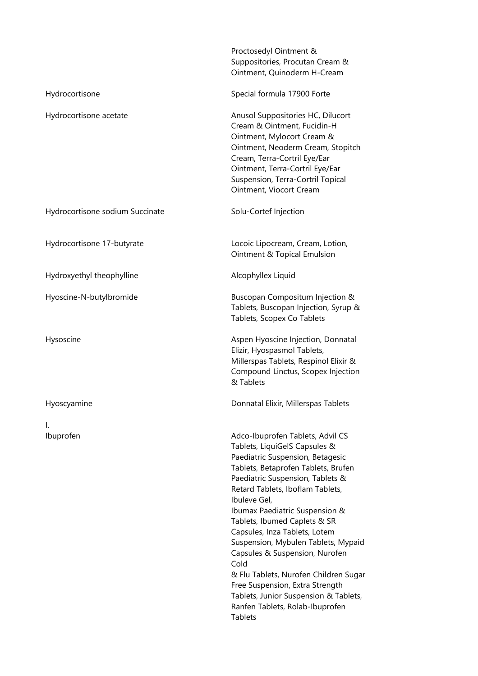|                                 | Proctosedyl Ointment &<br>Suppositories, Procutan Cream &<br>Ointment, Quinoderm H-Cream                                                                                                                                                                                                                                                                                                                                                                                                                                                                                                           |
|---------------------------------|----------------------------------------------------------------------------------------------------------------------------------------------------------------------------------------------------------------------------------------------------------------------------------------------------------------------------------------------------------------------------------------------------------------------------------------------------------------------------------------------------------------------------------------------------------------------------------------------------|
| Hydrocortisone                  | Special formula 17900 Forte                                                                                                                                                                                                                                                                                                                                                                                                                                                                                                                                                                        |
| Hydrocortisone acetate          | Anusol Suppositories HC, Dilucort<br>Cream & Ointment, Fucidin-H<br>Ointment, Mylocort Cream &<br>Ointment, Neoderm Cream, Stopitch<br>Cream, Terra-Cortril Eye/Ear<br>Ointment, Terra-Cortril Eye/Ear<br>Suspension, Terra-Cortril Topical<br>Ointment, Viocort Cream                                                                                                                                                                                                                                                                                                                             |
| Hydrocortisone sodium Succinate | Solu-Cortef Injection                                                                                                                                                                                                                                                                                                                                                                                                                                                                                                                                                                              |
| Hydrocortisone 17-butyrate      | Locoic Lipocream, Cream, Lotion,<br>Ointment & Topical Emulsion                                                                                                                                                                                                                                                                                                                                                                                                                                                                                                                                    |
| Hydroxyethyl theophylline       | Alcophyllex Liquid                                                                                                                                                                                                                                                                                                                                                                                                                                                                                                                                                                                 |
| Hyoscine-N-butylbromide         | Buscopan Compositum Injection &<br>Tablets, Buscopan Injection, Syrup &<br>Tablets, Scopex Co Tablets                                                                                                                                                                                                                                                                                                                                                                                                                                                                                              |
| Hysoscine                       | Aspen Hyoscine Injection, Donnatal<br>Elizir, Hyospasmol Tablets,<br>Millerspas Tablets, Respinol Elixir &<br>Compound Linctus, Scopex Injection<br>& Tablets                                                                                                                                                                                                                                                                                                                                                                                                                                      |
| Hyoscyamine                     | Donnatal Elixir, Millerspas Tablets                                                                                                                                                                                                                                                                                                                                                                                                                                                                                                                                                                |
| Ι.<br>Ibuprofen                 | Adco-Ibuprofen Tablets, Advil CS<br>Tablets, LiquiGelS Capsules &<br>Paediatric Suspension, Betagesic<br>Tablets, Betaprofen Tablets, Brufen<br>Paediatric Suspension, Tablets &<br>Retard Tablets, Iboflam Tablets,<br>Ibuleve Gel,<br>Ibumax Paediatric Suspension &<br>Tablets, Ibumed Caplets & SR<br>Capsules, Inza Tablets, Lotem<br>Suspension, Mybulen Tablets, Mypaid<br>Capsules & Suspension, Nurofen<br>Cold<br>& Flu Tablets, Nurofen Children Sugar<br>Free Suspension, Extra Strength<br>Tablets, Junior Suspension & Tablets,<br>Ranfen Tablets, Rolab-Ibuprofen<br><b>Tablets</b> |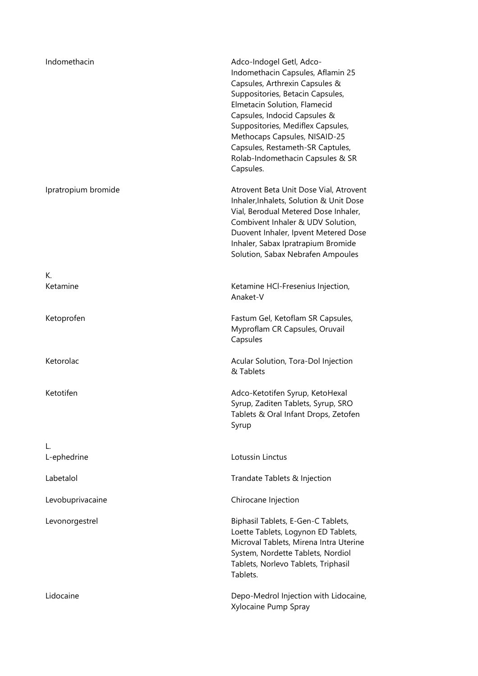| Indomethacin        | Adco-Indogel Getl, Adco-<br>Indomethacin Capsules, Aflamin 25<br>Capsules, Arthrexin Capsules &<br>Suppositories, Betacin Capsules,<br>Elmetacin Solution, Flamecid<br>Capsules, Indocid Capsules &<br>Suppositories, Mediflex Capsules,<br>Methocaps Capsules, NISAID-25<br>Capsules, Restameth-SR Captules,<br>Rolab-Indomethacin Capsules & SR<br>Capsules. |
|---------------------|----------------------------------------------------------------------------------------------------------------------------------------------------------------------------------------------------------------------------------------------------------------------------------------------------------------------------------------------------------------|
| Ipratropium bromide | Atrovent Beta Unit Dose Vial, Atrovent<br>Inhaler, Inhalets, Solution & Unit Dose<br>Vial, Berodual Metered Dose Inhaler,<br>Combivent Inhaler & UDV Solution,<br>Duovent Inhaler, Ipvent Metered Dose<br>Inhaler, Sabax Ipratrapium Bromide<br>Solution, Sabax Nebrafen Ampoules                                                                              |
| К.<br>Ketamine      | Ketamine HCI-Fresenius Injection,<br>Anaket-V                                                                                                                                                                                                                                                                                                                  |
| Ketoprofen          | Fastum Gel, Ketoflam SR Capsules,<br>Myproflam CR Capsules, Oruvail<br>Capsules                                                                                                                                                                                                                                                                                |
| Ketorolac           | Acular Solution, Tora-Dol Injection<br>& Tablets                                                                                                                                                                                                                                                                                                               |
| Ketotifen           | Adco-Ketotifen Syrup, KetoHexal<br>Syrup, Zaditen Tablets, Syrup, SRO<br>Tablets & Oral Infant Drops, Zetofen<br>Syrup                                                                                                                                                                                                                                         |
| L.<br>L-ephedrine   | Lotussin Linctus                                                                                                                                                                                                                                                                                                                                               |
| Labetalol           | Trandate Tablets & Injection                                                                                                                                                                                                                                                                                                                                   |
| Levobuprivacaine    | Chirocane Injection                                                                                                                                                                                                                                                                                                                                            |
| Levonorgestrel      | Biphasil Tablets, E-Gen-C Tablets,<br>Loette Tablets, Logynon ED Tablets,<br>Microval Tablets, Mirena Intra Uterine<br>System, Nordette Tablets, Nordiol<br>Tablets, Norlevo Tablets, Triphasil<br>Tablets.                                                                                                                                                    |
| Lidocaine           | Depo-Medrol Injection with Lidocaine,<br>Xylocaine Pump Spray                                                                                                                                                                                                                                                                                                  |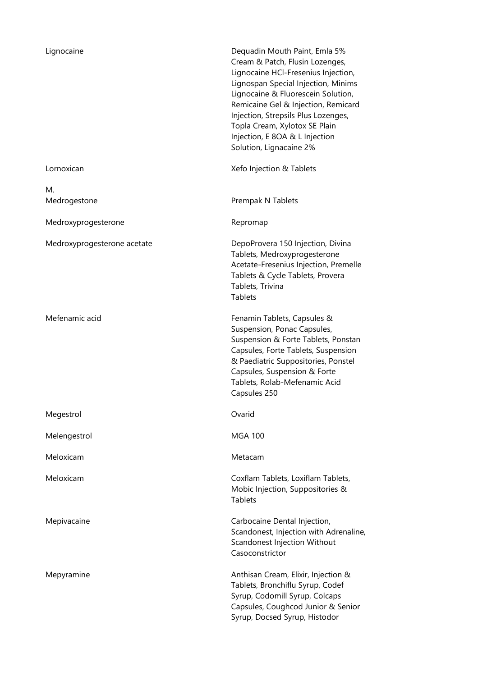| Lignocaine                  | Dequadin Mouth Paint, Emla 5%<br>Cream & Patch, Flusin Lozenges,<br>Lignocaine HCI-Fresenius Injection,<br>Lignospan Special Injection, Minims<br>Lignocaine & Fluorescein Solution,<br>Remicaine Gel & Injection, Remicard<br>Injection, Strepsils Plus Lozenges,<br>Topla Cream, Xylotox SE Plain<br>Injection, E 8OA & L Injection<br>Solution, Lignacaine 2% |
|-----------------------------|------------------------------------------------------------------------------------------------------------------------------------------------------------------------------------------------------------------------------------------------------------------------------------------------------------------------------------------------------------------|
| Lornoxican                  | Xefo Injection & Tablets                                                                                                                                                                                                                                                                                                                                         |
| М.<br>Medrogestone          | Prempak N Tablets                                                                                                                                                                                                                                                                                                                                                |
| Medroxyprogesterone         | Repromap                                                                                                                                                                                                                                                                                                                                                         |
| Medroxyprogesterone acetate | DepoProvera 150 Injection, Divina<br>Tablets, Medroxyprogesterone<br>Acetate-Fresenius Injection, Premelle<br>Tablets & Cycle Tablets, Provera<br>Tablets, Trivina<br><b>Tablets</b>                                                                                                                                                                             |
| Mefenamic acid              | Fenamin Tablets, Capsules &<br>Suspension, Ponac Capsules,<br>Suspension & Forte Tablets, Ponstan<br>Capsules, Forte Tablets, Suspension<br>& Paediatric Suppositories, Ponstel<br>Capsules, Suspension & Forte<br>Tablets, Rolab-Mefenamic Acid<br>Capsules 250                                                                                                 |
| Megestrol                   | Ovarid                                                                                                                                                                                                                                                                                                                                                           |
| Melengestrol                | <b>MGA 100</b>                                                                                                                                                                                                                                                                                                                                                   |
| Meloxicam                   | Metacam                                                                                                                                                                                                                                                                                                                                                          |
| Meloxicam                   | Coxflam Tablets, Loxiflam Tablets,<br>Mobic Injection, Suppositories &<br><b>Tablets</b>                                                                                                                                                                                                                                                                         |
| Mepivacaine                 | Carbocaine Dental Injection,<br>Scandonest, Injection with Adrenaline,<br>Scandonest Injection Without<br>Casoconstrictor                                                                                                                                                                                                                                        |
| Mepyramine                  | Anthisan Cream, Elixir, Injection &<br>Tablets, Bronchiflu Syrup, Codef<br>Syrup, Codomill Syrup, Colcaps<br>Capsules, Coughcod Junior & Senior<br>Syrup, Docsed Syrup, Histodor                                                                                                                                                                                 |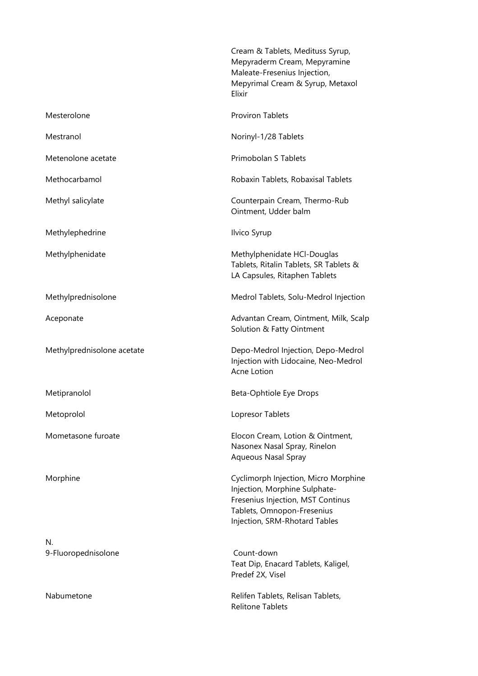|                            | Cream & Tablets, Medituss Syrup,<br>Mepyraderm Cream, Mepyramine<br>Maleate-Fresenius Injection,<br>Mepyrimal Cream & Syrup, Metaxol<br>Elixir                            |
|----------------------------|---------------------------------------------------------------------------------------------------------------------------------------------------------------------------|
| Mesterolone                | <b>Proviron Tablets</b>                                                                                                                                                   |
| Mestranol                  | Norinyl-1/28 Tablets                                                                                                                                                      |
| Metenolone acetate         | Primobolan S Tablets                                                                                                                                                      |
| Methocarbamol              | Robaxin Tablets, Robaxisal Tablets                                                                                                                                        |
| Methyl salicylate          | Counterpain Cream, Thermo-Rub<br>Ointment, Udder balm                                                                                                                     |
| Methylephedrine            | Ilvico Syrup                                                                                                                                                              |
| Methylphenidate            | Methylphenidate HCl-Douglas<br>Tablets, Ritalin Tablets, SR Tablets &<br>LA Capsules, Ritaphen Tablets                                                                    |
| Methylprednisolone         | Medrol Tablets, Solu-Medrol Injection                                                                                                                                     |
| Aceponate                  | Advantan Cream, Ointment, Milk, Scalp<br>Solution & Fatty Ointment                                                                                                        |
| Methylprednisolone acetate | Depo-Medrol Injection, Depo-Medrol<br>Injection with Lidocaine, Neo-Medrol<br>Acne Lotion                                                                                 |
| Metipranolol               | Beta-Ophtiole Eye Drops                                                                                                                                                   |
| Metoprolol                 | Lopresor Tablets                                                                                                                                                          |
| Mometasone furoate         | Elocon Cream, Lotion & Ointment,<br>Nasonex Nasal Spray, Rinelon<br>Aqueous Nasal Spray                                                                                   |
| Morphine                   | Cyclimorph Injection, Micro Morphine<br>Injection, Morphine Sulphate-<br>Fresenius Injection, MST Continus<br>Tablets, Omnopon-Fresenius<br>Injection, SRM-Rhotard Tables |
| N.<br>9-Fluoropednisolone  | Count-down<br>Teat Dip, Enacard Tablets, Kaligel,<br>Predef 2X, Visel                                                                                                     |
| Nabumetone                 | Relifen Tablets, Relisan Tablets,<br><b>Relitone Tablets</b>                                                                                                              |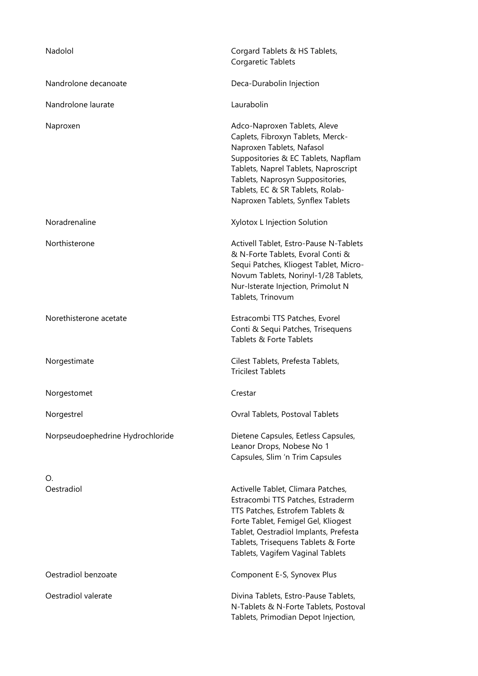| Nadolol                          | Corgard Tablets & HS Tablets,<br>Corgaretic Tablets                                                                                                                                                                                                                                        |
|----------------------------------|--------------------------------------------------------------------------------------------------------------------------------------------------------------------------------------------------------------------------------------------------------------------------------------------|
| Nandrolone decanoate             | Deca-Durabolin Injection                                                                                                                                                                                                                                                                   |
| Nandrolone laurate               | Laurabolin                                                                                                                                                                                                                                                                                 |
| Naproxen                         | Adco-Naproxen Tablets, Aleve<br>Caplets, Fibroxyn Tablets, Merck-<br>Naproxen Tablets, Nafasol<br>Suppositories & EC Tablets, Napflam<br>Tablets, Naprel Tablets, Naproscript<br>Tablets, Naprosyn Suppositories,<br>Tablets, EC & SR Tablets, Rolab-<br>Naproxen Tablets, Synflex Tablets |
| Noradrenaline                    | Xylotox L Injection Solution                                                                                                                                                                                                                                                               |
| Northisterone                    | Activell Tablet, Estro-Pause N-Tablets<br>& N-Forte Tablets, Evoral Conti &<br>Sequi Patches, Kliogest Tablet, Micro-<br>Novum Tablets, Norinyl-1/28 Tablets,<br>Nur-Isterate Injection, Primolut N<br>Tablets, Trinovum                                                                   |
| Norethisterone acetate           | Estracombi TTS Patches, Evorel<br>Conti & Sequi Patches, Trisequens<br>Tablets & Forte Tablets                                                                                                                                                                                             |
| Norgestimate                     | Cilest Tablets, Prefesta Tablets,<br><b>Tricilest Tablets</b>                                                                                                                                                                                                                              |
| Norgestomet                      | Crestar                                                                                                                                                                                                                                                                                    |
| Norgestrel                       | Ovral Tablets, Postoval Tablets                                                                                                                                                                                                                                                            |
| Norpseudoephedrine Hydrochloride | Dietene Capsules, Eetless Capsules,<br>Leanor Drops, Nobese No 1<br>Capsules, Slim 'n Trim Capsules                                                                                                                                                                                        |
| O.<br>Oestradiol                 | Activelle Tablet, Climara Patches,<br>Estracombi TTS Patches, Estraderm<br>TTS Patches, Estrofem Tablets &<br>Forte Tablet, Femigel Gel, Kliogest<br>Tablet, Oestradiol Implants, Prefesta<br>Tablets, Trisequens Tablets & Forte<br>Tablets, Vagifem Vaginal Tablets                      |
| Oestradiol benzoate              | Component E-S, Synovex Plus                                                                                                                                                                                                                                                                |
| Oestradiol valerate              | Divina Tablets, Estro-Pause Tablets,<br>N-Tablets & N-Forte Tablets, Postoval<br>Tablets, Primodian Depot Injection,                                                                                                                                                                       |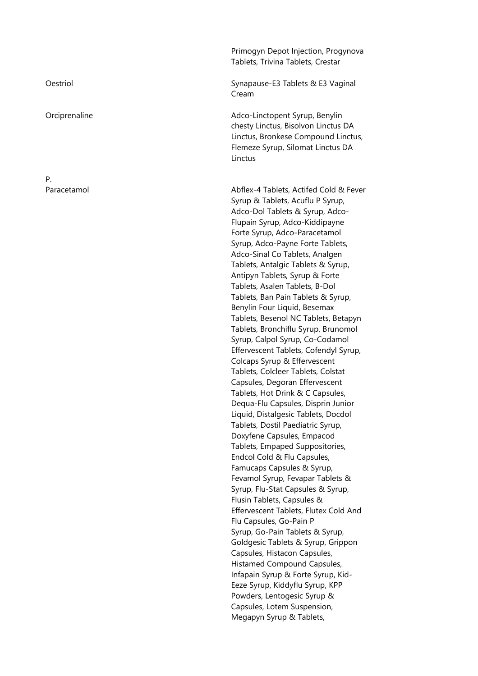P.

Primogyn Depot Injection, Progynova Tablets, Trivina Tablets, Crestar

Oestriol **Synapause-E3 Tablets & E3 Vaginal** Synapause-E3 Tablets & E3 Vaginal Cream

Orciprenaline **Adco-Linctopent Syrup, Benylin** chesty Linctus, Bisolvon Linctus DA Linctus, Bronkese Compound Linctus, Flemeze Syrup, Silomat Linctus DA Linctus

Paracetamol Abflex-4 Tablets, Actifed Cold & Fever Syrup & Tablets, Acuflu P Syrup, Adco-Dol Tablets & Syrup, Adco-Flupain Syrup, Adco-Kiddipayne Forte Syrup, Adco-Paracetamol Syrup, Adco-Payne Forte Tablets, Adco-Sinal Co Tablets, Analgen Tablets, Antalgic Tablets & Syrup, Antipyn Tablets, Syrup & Forte Tablets, Asalen Tablets, B-Dol Tablets, Ban Pain Tablets & Syrup, Benylin Four Liquid, Besemax Tablets, Besenol NC Tablets, Betapyn Tablets, Bronchiflu Syrup, Brunomol Syrup, Calpol Syrup, Co-Codamol Effervescent Tablets, Cofendyl Syrup, Colcaps Syrup & Effervescent Tablets, Colcleer Tablets, Colstat Capsules, Degoran Effervescent Tablets, Hot Drink & C Capsules, Dequa-Flu Capsules, Disprin Junior Liquid, Distalgesic Tablets, Docdol Tablets, Dostil Paediatric Syrup, Doxyfene Capsules, Empacod Tablets, Empaped Suppositories, Endcol Cold & Flu Capsules, Famucaps Capsules & Syrup, Fevamol Syrup, Fevapar Tablets & Syrup, Flu-Stat Capsules & Syrup, Flusin Tablets, Capsules & Effervescent Tablets, Flutex Cold And Flu Capsules, Go-Pain P Syrup, Go-Pain Tablets & Syrup, Goldgesic Tablets & Syrup, Grippon Capsules, Histacon Capsules, Histamed Compound Capsules, Infapain Syrup & Forte Syrup, Kid-Eeze Syrup, Kiddyflu Syrup, KPP Powders, Lentogesic Syrup & Capsules, Lotem Suspension, Megapyn Syrup & Tablets,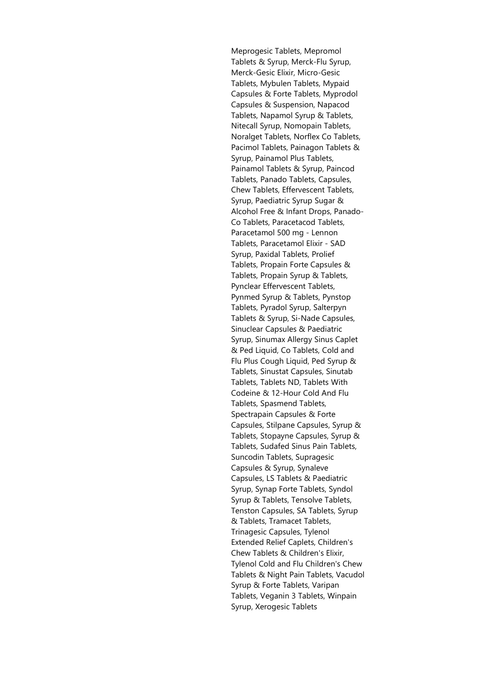Meprogesic Tablets, Mepromol Tablets & Syrup, Merck-Flu Syrup, Merck-Gesic Elixir, Micro-Gesic Tablets, Mybulen Tablets, Mypaid Capsules & Forte Tablets, Myprodol Capsules & Suspension, Napacod Tablets, Napamol Syrup & Tablets, Nitecall Syrup, Nomopain Tablets, Noralget Tablets, Norflex Co Tablets, Pacimol Tablets, Painagon Tablets & Syrup, Painamol Plus Tablets, Painamol Tablets & Syrup, Paincod Tablets, Panado Tablets, Capsules, Chew Tablets, Effervescent Tablets, Syrup, Paediatric Syrup Sugar & Alcohol Free & Infant Drops, Panado-Co Tablets, Paracetacod Tablets, Paracetamol 500 mg - Lennon Tablets, Paracetamol Elixir - SAD Syrup, Paxidal Tablets, Prolief Tablets, Propain Forte Capsules & Tablets, Propain Syrup & Tablets, Pynclear Effervescent Tablets, Pynmed Syrup & Tablets, Pynstop Tablets, Pyradol Syrup, Salterpyn Tablets & Syrup, Si-Nade Capsules, Sinuclear Capsules & Paediatric Syrup, Sinumax Allergy Sinus Caplet & Ped Liquid, Co Tablets, Cold and Flu Plus Cough Liquid, Ped Syrup & Tablets, Sinustat Capsules, Sinutab Tablets, Tablets ND, Tablets With Codeine & 12-Hour Cold And Flu Tablets, Spasmend Tablets, Spectrapain Capsules & Forte Capsules, Stilpane Capsules, Syrup & Tablets, Stopayne Capsules, Syrup & Tablets, Sudafed Sinus Pain Tablets, Suncodin Tablets, Supragesic Capsules & Syrup, Synaleve Capsules, LS Tablets & Paediatric Syrup, Synap Forte Tablets, Syndol Syrup & Tablets, Tensolve Tablets, Tenston Capsules, SA Tablets, Syrup & Tablets, Tramacet Tablets, Trinagesic Capsules, Tylenol Extended Relief Caplets, Children's Chew Tablets & Children's Elixir, Tylenol Cold and Flu Children's Chew Tablets & Night Pain Tablets, Vacudol Syrup & Forte Tablets, Varipan Tablets, Veganin 3 Tablets, Winpain Syrup, Xerogesic Tablets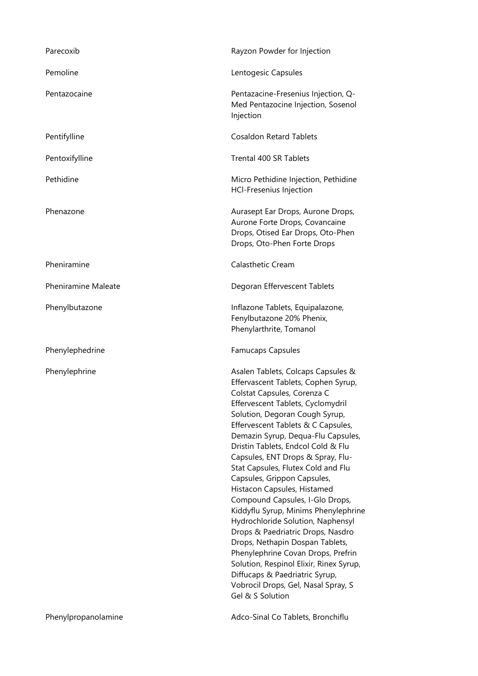| Parecoxib                  | Rayzon Powder for Injection                                                                                                                                                                                                                                                                                                                                                                                                                                                                                                                                                                                                                                                                                                                                                                                      |
|----------------------------|------------------------------------------------------------------------------------------------------------------------------------------------------------------------------------------------------------------------------------------------------------------------------------------------------------------------------------------------------------------------------------------------------------------------------------------------------------------------------------------------------------------------------------------------------------------------------------------------------------------------------------------------------------------------------------------------------------------------------------------------------------------------------------------------------------------|
| Pemoline                   | Lentogesic Capsules                                                                                                                                                                                                                                                                                                                                                                                                                                                                                                                                                                                                                                                                                                                                                                                              |
| Pentazocaine               | Pentazacine-Fresenius Injection, Q-<br>Med Pentazocine Injection, Sosenol<br>Injection                                                                                                                                                                                                                                                                                                                                                                                                                                                                                                                                                                                                                                                                                                                           |
| Pentifylline               | <b>Cosaldon Retard Tablets</b>                                                                                                                                                                                                                                                                                                                                                                                                                                                                                                                                                                                                                                                                                                                                                                                   |
| Pentoxifylline             | Trental 400 SR Tablets                                                                                                                                                                                                                                                                                                                                                                                                                                                                                                                                                                                                                                                                                                                                                                                           |
| Pethidine                  | Micro Pethidine Injection, Pethidine<br><b>HCI-Fresenius Injection</b>                                                                                                                                                                                                                                                                                                                                                                                                                                                                                                                                                                                                                                                                                                                                           |
| Phenazone                  | Aurasept Ear Drops, Aurone Drops,<br>Aurone Forte Drops, Covancaine<br>Drops, Otised Ear Drops, Oto-Phen<br>Drops, Oto-Phen Forte Drops                                                                                                                                                                                                                                                                                                                                                                                                                                                                                                                                                                                                                                                                          |
| Pheniramine                | Calasthetic Cream                                                                                                                                                                                                                                                                                                                                                                                                                                                                                                                                                                                                                                                                                                                                                                                                |
| <b>Pheniramine Maleate</b> | Degoran Effervescent Tablets                                                                                                                                                                                                                                                                                                                                                                                                                                                                                                                                                                                                                                                                                                                                                                                     |
| Phenylbutazone             | Inflazone Tablets, Equipalazone,<br>Fenylbutazone 20% Phenix,<br>Phenylarthrite, Tomanol                                                                                                                                                                                                                                                                                                                                                                                                                                                                                                                                                                                                                                                                                                                         |
| Phenylephedrine            | <b>Famucaps Capsules</b>                                                                                                                                                                                                                                                                                                                                                                                                                                                                                                                                                                                                                                                                                                                                                                                         |
| Phenylephrine              | Asalen Tablets, Colcaps Capsules &<br>Effervascent Tablets, Cophen Syrup,<br>Colstat Capsules, Corenza C<br>Effervescent Tablets, Cyclomydril<br>Solution, Degoran Cough Syrup,<br>Effervescent Tablets & C Capsules,<br>Demazin Syrup, Dequa-Flu Capsules,<br>Dristin Tablets, Endcol Cold & Flu<br>Capsules, ENT Drops & Spray, Flu-<br>Stat Capsules, Flutex Cold and Flu<br>Capsules, Grippon Capsules,<br>Histacon Capsules, Histamed<br>Compound Capsules, I-Glo Drops,<br>Kiddyflu Syrup, Minims Phenylephrine<br>Hydrochloride Solution, Naphensyl<br>Drops & Paedriatric Drops, Nasdro<br>Drops, Nethapin Dospan Tablets,<br>Phenylephrine Covan Drops, Prefrin<br>Solution, Respinol Elixir, Rinex Syrup,<br>Diffucaps & Paedriatric Syrup,<br>Vobrocil Drops, Gel, Nasal Spray, S<br>Gel & S Solution |

Phenylpropanolamine **Adco-Sinal Co Tablets, Bronchiflu**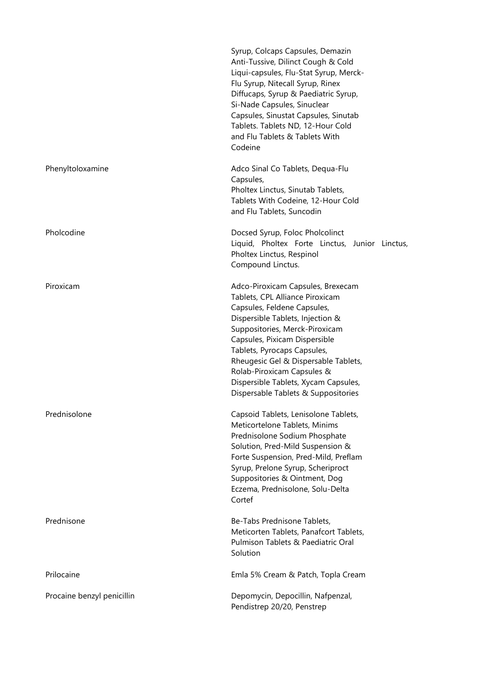|                            | Syrup, Colcaps Capsules, Demazin<br>Anti-Tussive, Dilinct Cough & Cold<br>Liqui-capsules, Flu-Stat Syrup, Merck-<br>Flu Syrup, Nitecall Syrup, Rinex<br>Diffucaps, Syrup & Paediatric Syrup,<br>Si-Nade Capsules, Sinuclear<br>Capsules, Sinustat Capsules, Sinutab<br>Tablets. Tablets ND, 12-Hour Cold<br>and Flu Tablets & Tablets With<br>Codeine                                          |
|----------------------------|------------------------------------------------------------------------------------------------------------------------------------------------------------------------------------------------------------------------------------------------------------------------------------------------------------------------------------------------------------------------------------------------|
| Phenyltoloxamine           | Adco Sinal Co Tablets, Dequa-Flu<br>Capsules,<br>Pholtex Linctus, Sinutab Tablets,<br>Tablets With Codeine, 12-Hour Cold<br>and Flu Tablets, Suncodin                                                                                                                                                                                                                                          |
| Pholcodine                 | Docsed Syrup, Foloc Pholcolinct<br>Liquid, Pholtex Forte Linctus, Junior Linctus,<br>Pholtex Linctus, Respinol<br>Compound Linctus.                                                                                                                                                                                                                                                            |
| Piroxicam                  | Adco-Piroxicam Capsules, Brexecam<br>Tablets, CPL Alliance Piroxicam<br>Capsules, Feldene Capsules,<br>Dispersible Tablets, Injection &<br>Suppositories, Merck-Piroxicam<br>Capsules, Pixicam Dispersible<br>Tablets, Pyrocaps Capsules,<br>Rheugesic Gel & Dispersable Tablets,<br>Rolab-Piroxicam Capsules &<br>Dispersible Tablets, Xycam Capsules,<br>Dispersable Tablets & Suppositories |
| Prednisolone               | Capsoid Tablets, Lenisolone Tablets,<br>Meticortelone Tablets, Minims<br>Prednisolone Sodium Phosphate<br>Solution, Pred-Mild Suspension &<br>Forte Suspension, Pred-Mild, Preflam<br>Syrup, Prelone Syrup, Scheriproct<br>Suppositories & Ointment, Dog<br>Eczema, Prednisolone, Solu-Delta<br>Cortef                                                                                         |
| Prednisone                 | Be-Tabs Prednisone Tablets,<br>Meticorten Tablets, Panafcort Tablets,<br>Pulmison Tablets & Paediatric Oral<br>Solution                                                                                                                                                                                                                                                                        |
| Prilocaine                 | Emla 5% Cream & Patch, Topla Cream                                                                                                                                                                                                                                                                                                                                                             |
| Procaine benzyl penicillin | Depomycin, Depocillin, Nafpenzal,<br>Pendistrep 20/20, Penstrep                                                                                                                                                                                                                                                                                                                                |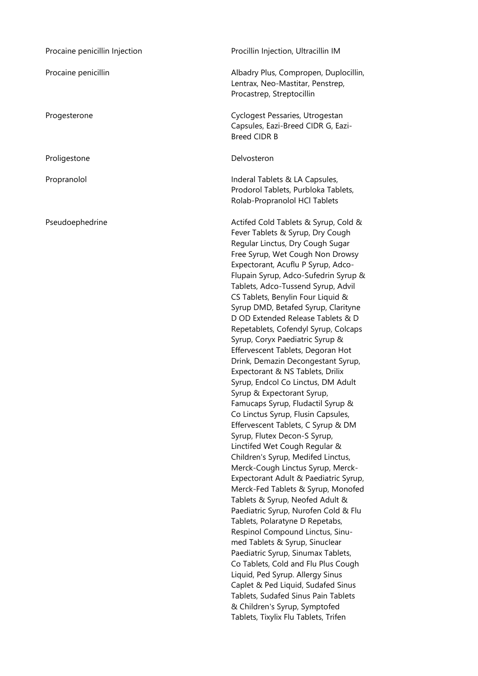| Procaine penicillin Injection | Procillin Injection, Ultracillin IM                                                                                                                                                                                                                                                                                                                                                                                                                                                                                                                                                                                                                                                                                                                                                                                                                                                                                                                                                                                                                                                                                                                                                                                                                                                                                                                                                                                                                        |
|-------------------------------|------------------------------------------------------------------------------------------------------------------------------------------------------------------------------------------------------------------------------------------------------------------------------------------------------------------------------------------------------------------------------------------------------------------------------------------------------------------------------------------------------------------------------------------------------------------------------------------------------------------------------------------------------------------------------------------------------------------------------------------------------------------------------------------------------------------------------------------------------------------------------------------------------------------------------------------------------------------------------------------------------------------------------------------------------------------------------------------------------------------------------------------------------------------------------------------------------------------------------------------------------------------------------------------------------------------------------------------------------------------------------------------------------------------------------------------------------------|
| Procaine penicillin           | Albadry Plus, Compropen, Duplocillin,<br>Lentrax, Neo-Mastitar, Penstrep,<br>Procastrep, Streptocillin                                                                                                                                                                                                                                                                                                                                                                                                                                                                                                                                                                                                                                                                                                                                                                                                                                                                                                                                                                                                                                                                                                                                                                                                                                                                                                                                                     |
| Progesterone                  | Cyclogest Pessaries, Utrogestan<br>Capsules, Eazi-Breed CIDR G, Eazi-<br><b>Breed CIDR B</b>                                                                                                                                                                                                                                                                                                                                                                                                                                                                                                                                                                                                                                                                                                                                                                                                                                                                                                                                                                                                                                                                                                                                                                                                                                                                                                                                                               |
| Proligestone                  | Delvosteron                                                                                                                                                                                                                                                                                                                                                                                                                                                                                                                                                                                                                                                                                                                                                                                                                                                                                                                                                                                                                                                                                                                                                                                                                                                                                                                                                                                                                                                |
| Propranolol                   | Inderal Tablets & LA Capsules,<br>Prodorol Tablets, Purbloka Tablets,<br>Rolab-Propranolol HCl Tablets                                                                                                                                                                                                                                                                                                                                                                                                                                                                                                                                                                                                                                                                                                                                                                                                                                                                                                                                                                                                                                                                                                                                                                                                                                                                                                                                                     |
| Pseudoephedrine               | Actifed Cold Tablets & Syrup, Cold &<br>Fever Tablets & Syrup, Dry Cough<br>Regular Linctus, Dry Cough Sugar<br>Free Syrup, Wet Cough Non Drowsy<br>Expectorant, Acuflu P Syrup, Adco-<br>Flupain Syrup, Adco-Sufedrin Syrup &<br>Tablets, Adco-Tussend Syrup, Advil<br>CS Tablets, Benylin Four Liquid &<br>Syrup DMD, Betafed Syrup, Clarityne<br>D OD Extended Release Tablets & D<br>Repetablets, Cofendyl Syrup, Colcaps<br>Syrup, Coryx Paediatric Syrup &<br>Effervescent Tablets, Degoran Hot<br>Drink, Demazin Decongestant Syrup,<br>Expectorant & NS Tablets, Drilix<br>Syrup, Endcol Co Linctus, DM Adult<br>Syrup & Expectorant Syrup,<br>Famucaps Syrup, Fludactil Syrup &<br>Co Linctus Syrup, Flusin Capsules,<br>Effervescent Tablets, C Syrup & DM<br>Syrup, Flutex Decon-S Syrup,<br>Linctifed Wet Cough Regular &<br>Children's Syrup, Medifed Linctus,<br>Merck-Cough Linctus Syrup, Merck-<br>Expectorant Adult & Paediatric Syrup,<br>Merck-Fed Tablets & Syrup, Monofed<br>Tablets & Syrup, Neofed Adult &<br>Paediatric Syrup, Nurofen Cold & Flu<br>Tablets, Polaratyne D Repetabs,<br>Respinol Compound Linctus, Sinu-<br>med Tablets & Syrup, Sinuclear<br>Paediatric Syrup, Sinumax Tablets,<br>Co Tablets, Cold and Flu Plus Cough<br>Liquid, Ped Syrup. Allergy Sinus<br>Caplet & Ped Liquid, Sudafed Sinus<br>Tablets, Sudafed Sinus Pain Tablets<br>& Children's Syrup, Symptofed<br>Tablets, Tixylix Flu Tablets, Trifen |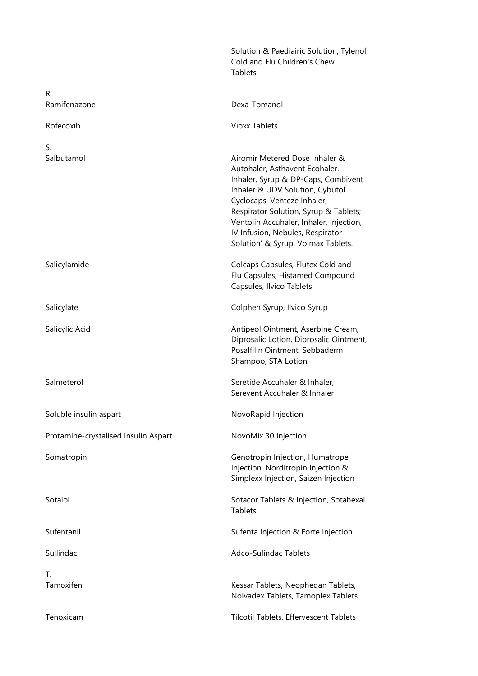|                                      | Solution & Paediairic Solution, Tylenol<br>Cold and Flu Children's Chew<br>Tablets.                                                                                                                                                                                                                                                     |
|--------------------------------------|-----------------------------------------------------------------------------------------------------------------------------------------------------------------------------------------------------------------------------------------------------------------------------------------------------------------------------------------|
| R.                                   |                                                                                                                                                                                                                                                                                                                                         |
| Ramifenazone                         | Dexa-Tomanol                                                                                                                                                                                                                                                                                                                            |
| Rofecoxib                            | <b>Vioxx Tablets</b>                                                                                                                                                                                                                                                                                                                    |
| S.<br>Salbutamol                     | Airomir Metered Dose Inhaler &<br>Autohaler, Asthavent Ecohaler.<br>Inhaler, Syrup & DP-Caps, Combivent<br>Inhaler & UDV Solution, Cybutol<br>Cyclocaps, Venteze Inhaler,<br>Respirator Solution, Syrup & Tablets;<br>Ventolin Accuhaler, Inhaler, Injection,<br>IV Infusion, Nebules, Respirator<br>Solution' & Syrup, Volmax Tablets. |
| Salicylamide                         | Colcaps Capsules, Flutex Cold and<br>Flu Capsules, Histamed Compound<br>Capsules, Ilvico Tablets                                                                                                                                                                                                                                        |
| Salicylate                           | Colphen Syrup, Ilvico Syrup                                                                                                                                                                                                                                                                                                             |
| Salicylic Acid                       | Antipeol Ointment, Aserbine Cream,<br>Diprosalic Lotion, Diprosalic Ointment,<br>Posalfilin Ointment, Sebbaderm<br>Shampoo, STA Lotion                                                                                                                                                                                                  |
| Salmeterol                           | Seretide Accuhaler & Inhaler,<br>Serevent Accuhaler & Inhaler                                                                                                                                                                                                                                                                           |
| Soluble insulin aspart               | NovoRapid Injection                                                                                                                                                                                                                                                                                                                     |
| Protamine-crystalised insulin Aspart | NovoMix 30 Injection                                                                                                                                                                                                                                                                                                                    |
| Somatropin                           | Genotropin Injection, Humatrope<br>Injection, Norditropin Injection &<br>Simplexx Injection, Saizen Injection                                                                                                                                                                                                                           |
| Sotalol                              | Sotacor Tablets & Injection, Sotahexal<br>Tablets                                                                                                                                                                                                                                                                                       |
| Sufentanil                           | Sufenta Injection & Forte Injection                                                                                                                                                                                                                                                                                                     |
| Sullindac                            | Adco-Sulindac Tablets                                                                                                                                                                                                                                                                                                                   |
| T.                                   |                                                                                                                                                                                                                                                                                                                                         |
| Tamoxifen                            | Kessar Tablets, Neophedan Tablets,<br>Nolvadex Tablets, Tamoplex Tablets                                                                                                                                                                                                                                                                |
| Tenoxicam                            | Tilcotil Tablets, Effervescent Tablets                                                                                                                                                                                                                                                                                                  |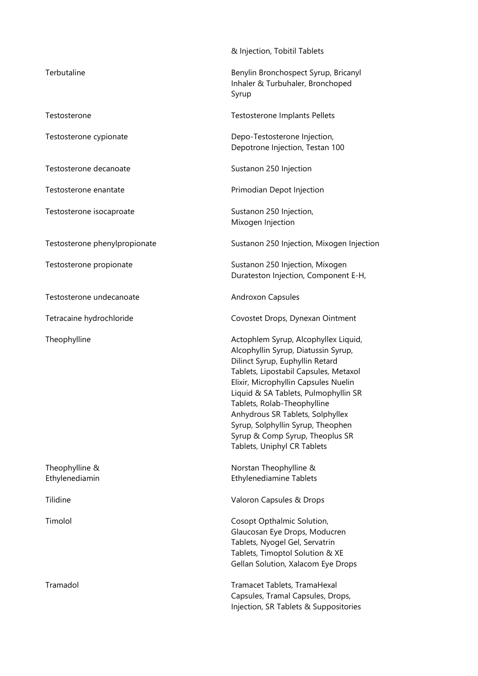|                               | & Injection, Tobitil Tablets                                                                                                                                                                                                                                                                                                                                                                                      |
|-------------------------------|-------------------------------------------------------------------------------------------------------------------------------------------------------------------------------------------------------------------------------------------------------------------------------------------------------------------------------------------------------------------------------------------------------------------|
| Terbutaline                   | Benylin Bronchospect Syrup, Bricanyl<br>Inhaler & Turbuhaler, Bronchoped<br>Syrup                                                                                                                                                                                                                                                                                                                                 |
| Testosterone                  | Testosterone Implants Pellets                                                                                                                                                                                                                                                                                                                                                                                     |
| Testosterone cypionate        | Depo-Testosterone Injection,<br>Depotrone Injection, Testan 100                                                                                                                                                                                                                                                                                                                                                   |
| Testosterone decanoate        | Sustanon 250 Injection                                                                                                                                                                                                                                                                                                                                                                                            |
| Testosterone enantate         | Primodian Depot Injection                                                                                                                                                                                                                                                                                                                                                                                         |
| Testosterone isocaproate      | Sustanon 250 Injection,<br>Mixogen Injection                                                                                                                                                                                                                                                                                                                                                                      |
| Testosterone phenylpropionate | Sustanon 250 Injection, Mixogen Injection                                                                                                                                                                                                                                                                                                                                                                         |
| Testosterone propionate       | Sustanon 250 Injection, Mixogen<br>Durateston Injection, Component E-H,                                                                                                                                                                                                                                                                                                                                           |
| Testosterone undecanoate      | <b>Androxon Capsules</b>                                                                                                                                                                                                                                                                                                                                                                                          |
| Tetracaine hydrochloride      | Covostet Drops, Dynexan Ointment                                                                                                                                                                                                                                                                                                                                                                                  |
| Theophylline                  | Actophlem Syrup, Alcophyllex Liquid,<br>Alcophyllin Syrup, Diatussin Syrup,<br>Dilinct Syrup, Euphyllin Retard<br>Tablets, Lipostabil Capsules, Metaxol<br>Elixir, Microphyllin Capsules Nuelin<br>Liquid & SA Tablets, Pulmophyllin SR<br>Tablets, Rolab-Theophylline<br>Anhydrous SR Tablets, Solphyllex<br>Syrup, Solphyllin Syrup, Theophen<br>Syrup & Comp Syrup, Theoplus SR<br>Tablets, Uniphyl CR Tablets |
| Theophylline &                | Norstan Theophylline &<br><b>Ethylenediamine Tablets</b>                                                                                                                                                                                                                                                                                                                                                          |
| Ethylenediamin                |                                                                                                                                                                                                                                                                                                                                                                                                                   |
| Tilidine                      | Valoron Capsules & Drops                                                                                                                                                                                                                                                                                                                                                                                          |
| Timolol                       | Cosopt Opthalmic Solution,<br>Glaucosan Eye Drops, Moducren<br>Tablets, Nyogel Gel, Servatrin<br>Tablets, Timoptol Solution & XE<br>Gellan Solution, Xalacom Eye Drops                                                                                                                                                                                                                                            |
| Tramadol                      | Tramacet Tablets, TramaHexal<br>Capsules, Tramal Capsules, Drops,<br>Injection, SR Tablets & Suppositories                                                                                                                                                                                                                                                                                                        |